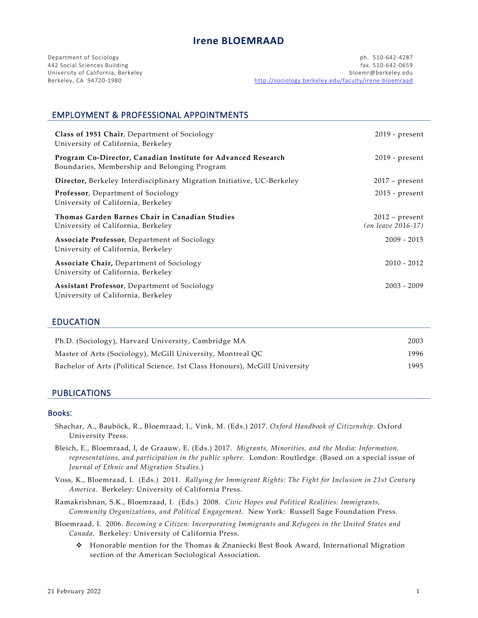University of California, Berkeley<br>Berkeley, CA 94720-1980

Department of Sociology ph. 510-642-4287 442 Social Sciences Building fax. 510-642-0659 http://sociology.berkeley.edu/faculty/irene-bloemraad

# EMPLOYMENT & PROFESSIONAL APPOINTMENTS

| Class of 1951 Chair, Department of Sociology<br>University of California, Berkeley                            | $2019$ - present                       |
|---------------------------------------------------------------------------------------------------------------|----------------------------------------|
| Program Co-Director, Canadian Institute for Advanced Research<br>Boundaries, Membership and Belonging Program | $2019$ - present                       |
| Director, Berkeley Interdisciplinary Migration Initiative, UC-Berkeley                                        | $2017$ – present                       |
| Professor, Department of Sociology<br>University of California, Berkeley                                      | $2015$ - present                       |
| Thomas Garden Barnes Chair in Canadian Studies<br>University of California, Berkeley                          | $2012$ – present<br>(on leave 2016-17) |
| Associate Professor, Department of Sociology<br>University of California, Berkeley                            | $2009 - 2015$                          |
| <b>Associate Chair, Department of Sociology</b><br>University of California, Berkeley                         | $2010 - 2012$                          |
| Assistant Professor, Department of Sociology<br>University of California, Berkeley                            | $2003 - 2009$                          |

### EDUCATION

| Ph.D. (Sociology), Harvard University, Cambridge MA                        | 2003 |
|----------------------------------------------------------------------------|------|
| Master of Arts (Sociology), McGill University, Montreal QC                 | 1996 |
| Bachelor of Arts (Political Science, 1st Class Honours), McGill University | 1995 |

### PUBLICATIONS

#### Books:

- Shachar, A., Bauböck, R., Bloemraad, I., Vink, M. (Eds.) 2017. *Oxford Handbook of Citizenship.* Oxford University Press.
- Bleich, E., Bloemraad, I, de Graauw, E. (Eds.) 2017. *Migrants, Minorities, and the Media: Information, representations, and participation in the public sphere*. London: Routledge. (Based on a special issue of *Journal of Ethnic and Migration Studies*.)
- Voss, K., Bloemraad, I. (Eds.) 2011. *Rallying for Immigrant Rights: The Fight for Inclusion in 21st Century America*. Berkeley: University of California Press.
- Ramakrishnan, S.K., Bloemraad, I. (Eds.) 2008*. Civic Hopes and Political Realities: Immigrants, Community Organizations, and Political Engagement*. New York: Russell Sage Foundation Press.
- Bloemraad, I. 2006. *Becoming a Citizen: Incorporating Immigrants and Refugees in the United States and Canada*. Berkeley: University of California Press.
	- Honorable mention for the Thomas & Znaniecki Best Book Award, International Migration section of the American Sociological Association.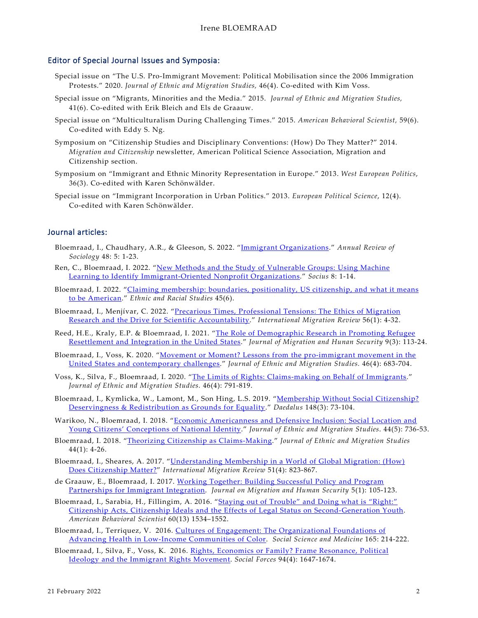#### Editor of Special Journal Issues and Symposia:

- Special issue on "The U.S. Pro-Immigrant Movement: Political Mobilisation since the 2006 Immigration Protests." 2020. *Journal of Ethnic and Migration Studies,* 46(4). Co-edited with Kim Voss.
- Special issue on "Migrants, Minorities and the Media." 2015. *Journal of Ethnic and Migration Studies,*  41(6). Co-edited with Erik Bleich and Els de Graauw.
- Special issue on "Multiculturalism During Challenging Times." 2015. *American Behavioral Scientist,* 59(6). Co-edited with Eddy S. Ng.
- Symposium on "Citizenship Studies and Disciplinary Conventions: (How) Do They Matter?" 2014. *Migration and Citizenship* newsletter, American Political Science Association, Migration and Citizenship section.
- Symposium on "Immigrant and Ethnic Minority Representation in Europe." 2013. *West European Politics*, 36(3). Co-edited with Karen Schönwälder.
- Special issue on "Immigrant Incorporation in Urban Politics." 2013. *European Political Science*, 12(4). Co-edited with Karen Schönwälder.

### Journal articles:

- Bloemraad, I., Chaudhary, A.R., & Gleeson, S. 2022. ["Immigrant Organizations.](https://www.annualreviews.org/doi/pdf/10.1146/annurev-soc-030420-015613)" *Annual Review of Sociology* 48: 5: 1-23.
- Ren, C., Bloemraad, I. 2022. ["New Methods and the Study of Vulnerable Groups: Using Machine](https://journals.sagepub.com/doi/pdf/10.1177/23780231221076992)  [Learning to Identify Immigrant-Oriented Nonprofit Organizations.](https://journals.sagepub.com/doi/pdf/10.1177/23780231221076992)" *Socius* 8: 1-14.
- Bloemraad, I. 2022. ["Claiming membership: boundaries, positionality, US citizenship, and what it means](https://www.tandfonline.com/doi/full/10.1080/01419870.2021.1986225)  [to be American.](https://www.tandfonline.com/doi/full/10.1080/01419870.2021.1986225)" *Ethnic and Racial Studies* 45(6).
- Bloemraad, I., Menjívar, C. 2022. ["Precarious Times, Professional Tensions: The Ethics of Migration](https://doi.org/10.1177%2F01979183211014455)  [Research and the Drive for Scientific Accountability.](https://doi.org/10.1177%2F01979183211014455)" *International Migration Review* 56(1): 4-32.
- Reed, H.E., Kraly, E.P. & Bloemraad, I. 2021. ["The Role of Demographic Research in Promoting Refugee](https://doi.org/10.1177%2F23315024211040024)  [Resettlement and Integration in the United States.](https://doi.org/10.1177%2F23315024211040024)" *Journal of Migration and Hunan Security* 9(3): 113-24.
- Bloemraad, I., Voss, K. 2020. ["Movement or Moment? Lessons from the pro-immigrant movement in the](https://www.tandfonline.com/doi/full/10.1080/1369183X.2018.1556447)  [United States and contemporary challenges.](https://www.tandfonline.com/doi/full/10.1080/1369183X.2018.1556447)" *Journal of Ethnic and Migration Studies.* 46(4): 683-704.
- Voss, K., Silva, F., Bloemraad, I. 2020. ["The Limits of Rights: Claims-making on Behalf of Immigrants.](https://www.tandfonline.com/doi/full/10.1080/1369183X.2018.1556463)" *Journal of Ethnic and Migration Studies.* 46(4): 791-819.
- Bloemraad, I., Kymlicka, W., Lamont, M., Son Hing, L.S. 2019. "Membership Without Social Citizenship? [Deservingness & Redistribution as Grounds for Equality.](https://www.amacad.org/publication/membership-without-social-citizenship-deservingness-redistribution-grounds-equality)" *Daedalus* 148(3): 73-104.
- Warikoo, N., Bloemraad, I. 2018. "Economic Americanness and Defensive Inclusion: Social Location and [Young Citizens' Conceptions of National Identity.](https://doi.org/10.1080/1369183X.2017.1329006)" *Journal of Ethnic and Migration Studies*. 44(5): 736-53.
- Bloemraad, I. 2018. ["Theorizing Citizenship as Claims-Making.](http://www.tandfonline.com/eprint/7gFa9cNJYNnA7v4wgZG9/full)" *Journal of Ethnic and Migration Studies* 44(1): 4-26.
- Bloemraad, I., Sheares, A. 2017. ["Understanding Membership in a World of Global Migration: \(How\)](https://authorservices.wiley.com/api/pdf/fullArticle/14605942)  [Does Citizenship Matter?"](https://authorservices.wiley.com/api/pdf/fullArticle/14605942) *International Migration Review* 51(4): 823-867.
- de Graauw, E., Bloemraad, I. 2017. [Working Together: Building Successful Policy and Program](http://cmsny.org/publications/jmhs-working-together/)  [Partnerships for Immigrant Integration.](http://cmsny.org/publications/jmhs-working-together/) *Journal on Migration and Human Security* 5(1): 105-123.
- Bloemraad, I., Sarabia, H., Fillingim, A. 2016. ["Staying out of Trouble" and Doing what is "Right:"](http://abs.sagepub.com/cgi/reprint/60/13/1534.pdf?ijkey=U2wG2YoF7E90Xz0&keytype=finite)  [Citizenship Acts, Citizenship Ideals and the Effects of Legal Status on Second-Generation Youth.](http://abs.sagepub.com/cgi/reprint/60/13/1534.pdf?ijkey=U2wG2YoF7E90Xz0&keytype=finite) *American Behavioral Scientist* 60(13) 1534–1552.
- Bloemraad, I., Terriquez, V. 2016. [Cultures of Engagement: The Organizational Foundations of](http://www.sciencedirect.com/science/article/pii/S0277953616300582)  [Advancing Health in Low-Income Communities of Color.](http://www.sciencedirect.com/science/article/pii/S0277953616300582) *Social Science and Medicine* 165: 214-222.
- Bloemraad, I., Silva, F., Voss, K. 2016. [Rights, Economics or Family? Frame Resonance, Political](http://sociology.berkeley.edu/sites/default/files/faculty/bloemraad/Bloemraad_Silva_Voss_Rts_Economics_Family_2016.pdf)  [Ideology and the Immigrant Rights Movement.](http://sociology.berkeley.edu/sites/default/files/faculty/bloemraad/Bloemraad_Silva_Voss_Rts_Economics_Family_2016.pdf) *Social Forces* 94(4): 1647-1674.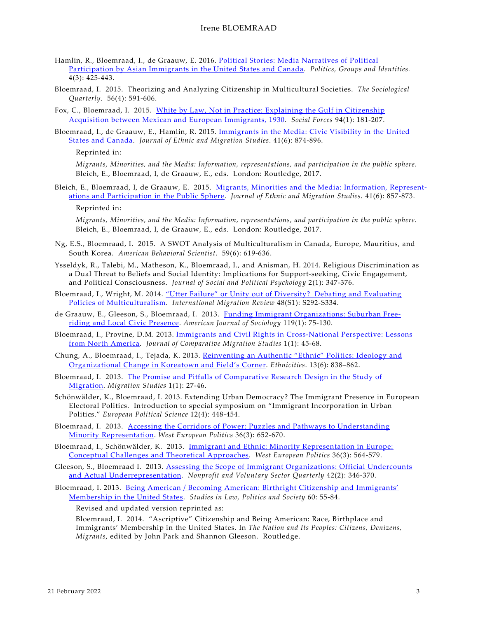- Hamlin, R., Bloemraad, I., de Graauw, E. 2016. [Political Stories: Media Narratives of Political](http://www.tandfonline.com/doi/abs/10.1080/21565503.2015.1065751)  [Participation by Asian Immigrants in the United States and Canada.](http://www.tandfonline.com/doi/abs/10.1080/21565503.2015.1065751) *Politics, Groups and Identities.* 4(3): 425-443.
- Bloemraad, I. 2015. Theorizing and Analyzing Citizenship in Multicultural Societies. *The Sociological Quarterly*. 56(4): 591-606.
- Fox, C., Bloemraad, I. 2015. [White by Law, Not in Practice: Explaining the Gulf in Citizenship](http://sociology.berkeley.edu/sites/default/files/faculty/bloemraad/Fox_Bloemraad_White_by_Law_Natz_Social_Forces_2015.pdf)  [Acquisition between Mexican and European Immigrants, 1930.](http://sociology.berkeley.edu/sites/default/files/faculty/bloemraad/Fox_Bloemraad_White_by_Law_Natz_Social_Forces_2015.pdf) *Social Forces* 94(1): 181-207.
- Bloemraad, I., de Graauw, E., Hamlin, R. 2015. [Immigrants in the Media: Civic Visibility in the United](http://sociology.berkeley.edu/sites/default/files/faculty/bloemraad/Bloemraad_deGraauw_Hamlin_Civic_Visibility_JEMS_2015.pdf)  [States and Canada.](http://sociology.berkeley.edu/sites/default/files/faculty/bloemraad/Bloemraad_deGraauw_Hamlin_Civic_Visibility_JEMS_2015.pdf) *Journal of Ethnic and Migration Studies*. 41(6): 874-896.

#### Reprinted in:

*Migrants, Minorities, and the Media: Information, representations, and participation in the public sphere*. Bleich, E., Bloemraad, I, de Graauw, E., eds. London: Routledge, 2017.

Bleich, E., Bloemraad, I, de Graauw, E. 2015. [Migrants, Minorities and the Media: Information, Represent](https://doi.org/10.1080/1369183X.2014.1002197)[ations and Participation in the Public Sphere.](https://doi.org/10.1080/1369183X.2014.1002197) *Journal of Ethnic and Migration Studies*. 41(6): 857-873. Reprinted in:

*Migrants, Minorities, and the Media: Information, representations, and participation in the public sphere*. Bleich, E., Bloemraad, I, de Graauw, E., eds. London: Routledge, 2017.

- Ng, E.S., Bloemraad, I. 2015. A SWOT Analysis of Multiculturalism in Canada, Europe, Mauritius, and South Korea. *American Behavioral Scientist*. 59(6): 619-636.
- Ysseldyk, R., Talebi, M., Matheson, K., Bloemraad, I., and Anisman, H. 2014. Religious Discrimination as a Dual Threat to Beliefs and Social Identity: Implications for Support-seeking, Civic Engagement, and Political Consciousness. *Journal of Social and Political Psychology* 2(1): 347-376.
- Bloemraad, I., Wright, M. 2014. "Utter Failure" [or Unity out of Diversity? Debating and Evaluating](http://sociology.berkeley.edu/sites/default/files/faculty/bloemraad/Bloemraad_Wright_Debating_Multiculturalism_2014.pdf)  [Policies of Multiculturalism.](http://sociology.berkeley.edu/sites/default/files/faculty/bloemraad/Bloemraad_Wright_Debating_Multiculturalism_2014.pdf) *International Migration Review* 48(S1): S292-S334.
- de Graauw, E., Gleeson, S., Bloemraad, I. 2013. [Funding Immigrant Organizations: Suburban Free](http://sociology.berkeley.edu/sites/default/files/faculty/bloemraad/deGraauw_Gleeson_Bloemraad_Funding_Imm_Orgs_2013.pdf)[riding and Local Civic Presence.](http://sociology.berkeley.edu/sites/default/files/faculty/bloemraad/deGraauw_Gleeson_Bloemraad_Funding_Imm_Orgs_2013.pdf) *American Journal of Sociology* 119(1): 75-130.
- Bloemraad, I., Provine, D.M. 2013. [Immigrants and Civil Rights in Cross-National Perspective: Lessons](http://www.academia.edu/5080903/Comparative_Migration_Studies_Inaugural_Issue_1_1_FULL_PDF)  [from North America.](http://www.academia.edu/5080903/Comparative_Migration_Studies_Inaugural_Issue_1_1_FULL_PDF) *Journal of Comparative Migration Studies* 1(1): 45-68.
- Chung, A., Bloemraad, I., Tejada, K. 2013. [Reinventing an Authentic "Ethnic" Politics: Ideology and](http://sociology.berkeley.edu/sites/default/files/faculty/bloemraad/Chung_Bloemraad_TP_Authentic_Ethnic_Politics_2013.pdf)  [Organizational Change in Koreatown and Field's Corner.](http://sociology.berkeley.edu/sites/default/files/faculty/bloemraad/Chung_Bloemraad_TP_Authentic_Ethnic_Politics_2013.pdf) *Ethnicities*. 13(6): 838–862.
- Bloemraad, I. 2013. [The Promise and Pitfalls of Comparative Research Design in the Study of](http://migration.oxfordjournals.org/cgi/reprint/mns035?)  [Migration.](http://migration.oxfordjournals.org/cgi/reprint/mns035?) *Migration Studies* 1(1): 27-46.
- Schönwälder, K., Bloemraad, I. 2013. Extending Urban Democracy? The Immigrant Presence in European Electoral Politics. Introduction to special symposium on "Immigrant Incorporation in Urban Politics." *European Political Science* 12(4): 448-454.
- Bloemraad, I. 2013. [Accessing the Corridors of Power: Puzzles and Pathways to Understanding](http://sociology.berkeley.edu/sites/default/files/faculty/bloemraad/Bloemraad_Corridors_of_Power_2013.pdf)  [Minority Representation.](http://sociology.berkeley.edu/sites/default/files/faculty/bloemraad/Bloemraad_Corridors_of_Power_2013.pdf) *West European Politics* 36(3): 652-670.
- Bloemraad, I., Schönwälder, K. 2013. [Immigrant and Ethnic: Minority Representation in Europe:](http://sociology.berkeley.edu/sites/default/files/faculty/bloemraad/Bloemraad_Schoenwaelder_WEP_Intro_2013.pdf)  [Conceptual Challenges and Theoretical Approaches.](http://sociology.berkeley.edu/sites/default/files/faculty/bloemraad/Bloemraad_Schoenwaelder_WEP_Intro_2013.pdf) *West European Politics* 36(3): 564-579.
- Gleeson, S., Bloemraad I. 2013. [Assessing the Scope of Immigrant Organizations:](http://sociology.berkeley.edu/sites/default/files/faculty/bloemraad/Gleeson_Bloemraad_Scope_Imm_Orgs_NVSQ_2013.pdf) Official Undercounts [and Actual Underrepresentation.](http://sociology.berkeley.edu/sites/default/files/faculty/bloemraad/Gleeson_Bloemraad_Scope_Imm_Orgs_NVSQ_2013.pdf) *Nonprofit and Voluntary Sector Quarterly* 42(2): 346-370.
- Bloemraad, I. 2013. [Being American / Becoming American: Birthright](http://sociology.berkeley.edu/sites/default/files/faculty/bloemraad/Bloemraad_Being_Becoming_American_2013.pdf) Citizenship and Immigrants' [Membership in the United States.](http://sociology.berkeley.edu/sites/default/files/faculty/bloemraad/Bloemraad_Being_Becoming_American_2013.pdf) *Studies in Law, Politics and Society* 60: 55-84.

Revised and updated version reprinted as:

Bloemraad, I. 2014. "Ascriptive" Citizenship and Being American: Race, Birthplace and Immigrants' Membership in the United States. In *The Nation and Its Peoples: Citizens, Denizens, Migrants*, edited by John Park and Shannon Gleeson. Routledge.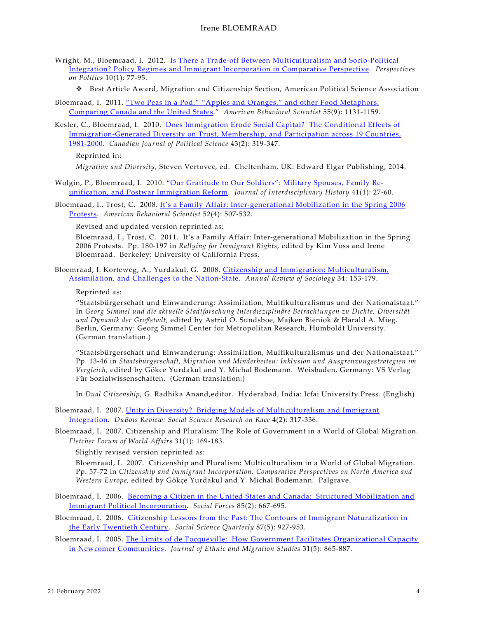- Wright, M., Bloemraad, I. 2012. Is There a Trade-off [Between Multiculturalism and Socio-Political](http://journals.cambridge.org/repo_A85dsAII)  [Integration? Policy Regimes and Immigrant Incorporation in Comparative Perspective.](http://journals.cambridge.org/repo_A85dsAII) *Perspectives on Politics* 10(1): 77-95.
	- Best Article Award, Migration and Citizenship Section, American Political Science Association
- Bloemraad, I. 2011. ["Two Peas in a Pod," "Apples and Oranges," and other Food Metaphors:](https://doi.org/10.1177/0002764211407844)  [Comparing Canada and the United States.](https://doi.org/10.1177/0002764211407844)" *American Behavioral Scientist* 55(9): 1131-1159.
- Kesler, C., Bloemraad, I. 2010. [Does Immigration Erode Social Capital? The Conditional Effects of](http://journals.cambridge.org/repo_A77TWbBP)  [Immigration-Generated Diversity on Trust, Membership,](http://journals.cambridge.org/repo_A77TWbBP) and Participation across 19 Countries, [1981-2000.](http://journals.cambridge.org/repo_A77TWbBP) *Canadian Journal of Political Science* 43(2): 319-347.

Reprinted in:

*Migration and Diversity*, Steven Vertovec, ed. Cheltenham, UK: Edward Elgar Publishing, 2014.

- Wolgin, P., Bloemraad, I. 2010. ["Our Gratitude to Our Soldiers": Military Spouses, Family Re](https://doi.org/10.1162/jinh.2010.41.1.27)[unification, and Postwar Immigration Reform.](https://doi.org/10.1162/jinh.2010.41.1.27) *Journal of Interdisciplinary History* 41(1): 27-60.
- Bloemraad, I., Trost, C. 2008. It's a Family Affair: Inter-generational Mobilization in the Spring 2006 [Protests.](http://sociology.berkeley.edu/sites/default/files/faculty/bloemraad/Behavioral_Scientist_Bloemraad_Trost_Feb_6_08.pdf) *American Behavioral Scientist* 52(4): 507-532.

Revised and updated version reprinted as:

Bloemraad, I., Trost, C. 2011. It's a Family Affair: Inter-generational Mobilization in the Spring 2006 Protests. Pp. 180-197 in *Rallying for Immigrant Rights*, edited by Kim Voss and Irene Bloemraad. Berkeley: University of California Press.

Bloemraad, I. Korteweg, A., Yurdakul, G. 2008. [Citizenship and Immigration: Multiculturalism,](http://arjournals.annualreviews.org/eprint/uGDBtJtzk6srFtUMuJCc/full/10.1146/annurev.soc.34.040507.134608)  [Assimilation, and Challenges to the Nation-State.](http://arjournals.annualreviews.org/eprint/uGDBtJtzk6srFtUMuJCc/full/10.1146/annurev.soc.34.040507.134608) *Annual Review of Sociology* 34: 153-179.

Reprinted as:

"Staatsbürgerschaft und Einwanderung: Assimilation, Multikulturalismus und der Nationalstaat." In *Georg Simmel und die aktuelle Stadtforschung Interdisziplinäre Betrachtungen zu Dichte, Diversität und Dynamik der Großstadt,* edited by Astrid O. Sundsboe, Majken Bieniok & Harald A. Mieg. Berlin, Germany: Georg Simmel Center for Metropolitan Research, Humboldt University. (German translation.)

"Staatsbürgerschaft und Einwanderung: Assimilation, Multikulturalismus und der Nationalstaat." Pp. 13-46 in *Staatsbürgerschaft, Migration und Minderheiten: Inklusion und Ausgrenzungsstrategien im Vergleich*, edited by Gökce Yurdakul and Y. Michal Bodemann. Weisbaden, Germany: VS Verlag Für Sozialwissenschaften. (German translation.)

In *Dual Citizenship*, G. Radhika Anand,editor. Hyderabad, India: Icfai University Press. (English)

- Bloemraad, I. 2007. [Unity in Diversity? Bridging Models of Multiculturalism and Immigrant](http://sociology.berkeley.edu/sites/default/files/faculty/bloemraad/Bloemraad_Unity_Diversity_DuBois_Review_2007.pdf)  [Integration.](http://sociology.berkeley.edu/sites/default/files/faculty/bloemraad/Bloemraad_Unity_Diversity_DuBois_Review_2007.pdf) *DuBois Review: Social Science Research on Race* 4(2): 317-336.
- Bloemraad, I. 2007. Citizenship and Pluralism: The Role of Government in a World of Global Migration. *Fletcher Forum of World Affairs* 31(1): 169-183.

Slightly revised version reprinted as:

Bloemraad, I. 2007. Citizenship and Pluralism: Multiculturalism in a World of Global Migration. Pp. 57-72 in *Citizenship and Immigrant Incorporation: Comparative Perspectives on North America and Western Europe*, edited by Gökçe Yurdakul and Y. Michal Bodemann. Palgrave.

- Bloemraad, I. 2006. [Becoming a Citizen in the United States and Canada: Structured Mobilization and](http://sociology.berkeley.edu/sites/default/files/faculty/bloemraad/Bloemraad_Social_Forces_Dec_2006.pdf)  [Immigrant Political Incorporation.](http://sociology.berkeley.edu/sites/default/files/faculty/bloemraad/Bloemraad_Social_Forces_Dec_2006.pdf) *Social Forces* 85(2): 667-695.
- Bloemraad, I. 2006. [Citizenship Lessons from the Past: The Contours of Immigrant Naturalization in](http://sociology.berkeley.edu/sites/default/files/faculty/bloemraad/Bloemraad_SSQ_Historic_Natz_2006.pdf)  [the Early Twentieth Century.](http://sociology.berkeley.edu/sites/default/files/faculty/bloemraad/Bloemraad_SSQ_Historic_Natz_2006.pdf) *Social Science Quarterly* 87(5): 927-953.
- Bloemraad, I. 2005. [The Limits of de Tocqueville: How Government Facilitates Organizational Capacity](http://sociology.berkeley.edu/sites/default/files/faculty/bloemraad/Bloemraad_Immigrant_Organizations_JEMS_2005.pdf)  [in Newcomer Communities.](http://sociology.berkeley.edu/sites/default/files/faculty/bloemraad/Bloemraad_Immigrant_Organizations_JEMS_2005.pdf) *Journal of Ethnic and Migration Studies* 31(5): 865-887.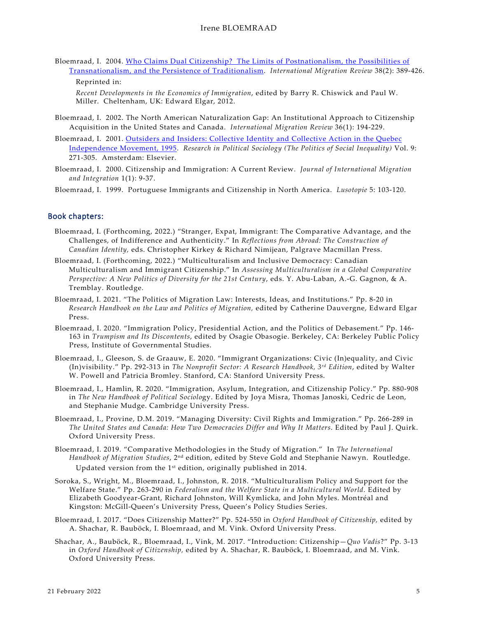Bloemraad, I. 2004. [Who Claims Dual Citizenship? The Limits of Postnationalism, the Possibilities of](http://sociology.berkeley.edu/sites/default/files/faculty/bloemraad/Bloemraad_Dual_Citizenship_2004.pdf)  [Transnationalism, and the Persistence of Traditionalism.](http://sociology.berkeley.edu/sites/default/files/faculty/bloemraad/Bloemraad_Dual_Citizenship_2004.pdf) *International Migration Review* 38(2): 389-426. Reprinted in:

*Recent Developments in the Economics of Immigration*, edited by Barry R. Chiswick and Paul W. Miller. Cheltenham, UK: Edward Elgar, 2012.

- Bloemraad, I. 2002. The North American Naturalization Gap: An Institutional Approach to Citizenship Acquisition in the United States and Canada. *International Migration Review* 36(1): 194-229.
- Bloemraad, I. 2001. [Outsiders and Insiders: Collective Identity and Collective Action in the Quebec](http://sociology.berkeley.edu/sites/default/files/faculty/bloemraad/Bloemraad_Outsiders_Insiders_QC_RPS_2001.pdf)  [Independence Movement, 1995.](http://sociology.berkeley.edu/sites/default/files/faculty/bloemraad/Bloemraad_Outsiders_Insiders_QC_RPS_2001.pdf) *Research in Political Sociology (The Politics of Social Inequality)* Vol. 9: 271-305. Amsterdam: Elsevier.
- Bloemraad, I. 2000. Citizenship and Immigration: A Current Review. *Journal of International Migration and Integration* 1(1): 9-37.

Bloemraad, I. 1999. Portuguese Immigrants and Citizenship in North America. *Lusotopie* 5: 103-120.

#### Book chapters:

- Bloemraad, I. (Forthcoming, 2022.) "Stranger, Expat, Immigrant: The Comparative Advantage, and the Challenges, of Indifference and Authenticity." In *Reflections from Abroad: The Construction of Canadian Identity,* eds. Christopher Kirkey & Richard Nimijean, Palgrave Macmillan Press.
- Bloemraad, I. (Forthcoming, 2022.) "Multiculturalism and Inclusive Democracy: Canadian Multiculturalism and Immigrant Citizenship." In *Assessing Multiculturalism in a Global Comparative Perspective: A New Politics of Diversity for the 21st Century*, eds. Y. Abu-Laban, A.-G. Gagnon, & A. Tremblay. Routledge.
- Bloemraad, I. 2021. "The Politics of Migration Law: Interests, Ideas, and Institutions." Pp. 8-20 in *Research Handbook on the Law and Politics of Migration,* edited by Catherine Dauvergne, Edward Elgar Press.
- Bloemraad, I. 2020. "Immigration Policy, Presidential Action, and the Politics of Debasement." Pp. 146- 163 in *Trumpism and Its Discontents*, edited by Osagie Obasogie. Berkeley, CA: Berkeley Public Policy Press, Institute of Governmental Studies.
- Bloemraad, I., Gleeson, S. de Graauw, E. 2020. "Immigrant Organizations: Civic (In)equality, and Civic (In)visibility." Pp. 292-313 in *The Nonprofit Sector: A Research Handbook, 3rd Edition*, edited by Walter W. Powell and Patricia Bromley. Stanford, CA: Stanford University Press.
- Bloemraad, I., Hamlin, R. 2020. "Immigration, Asylum, Integration, and Citizenship Policy." Pp. 880-908 in *The New Handbook of Political Sociolo*gy. Edited by Joya Misra, Thomas Janoski, Cedric de Leon, and Stephanie Mudge. Cambridge University Press.
- Bloemraad, I., Provine, D.M. 2019. "Managing Diversity: Civil Rights and Immigration." Pp. 266-289 in *The United States and Canada: How Two Democracies Differ and Why It Matters*. Edited by Paul J. Quirk. Oxford University Press.
- Bloemraad, I. 2019. "Comparative Methodologies in the Study of Migration." In *The International Handbook of Migration Studies*, 2nd edition, edited by Steve Gold and Stephanie Nawyn. Routledge. Updated version from the 1st edition, originally published in 2014.
- Soroka, S., Wright, M., Bloemraad, I., Johnston, R. 2018. "Multiculturalism Policy and Support for the Welfare State." Pp. 263-290 in *Federalism and the Welfare State in a Multicultural World.* Edited by Elizabeth Goodyear-Grant, Richard Johnston, Will Kymlicka, and John Myles. Montréal and Kingston: McGill-Queen's University Press, Queen's Policy Studies Series.
- Bloemraad, I. 2017. "Does Citizenship Matter?" Pp. 524-550 in *Oxford Handbook of Citizenship,* edited by A. Shachar, R. Bauböck, I. Bloemraad, and M. Vink. Oxford University Press.
- Shachar, A., Bauböck, R., Bloemraad, I., Vink, M. 2017. "Introduction: Citizenship—*Quo Vadis*?" Pp. 3-13 in *Oxford Handbook of Citizenship,* edited by A. Shachar, R. Bauböck, I. Bloemraad, and M. Vink. Oxford University Press.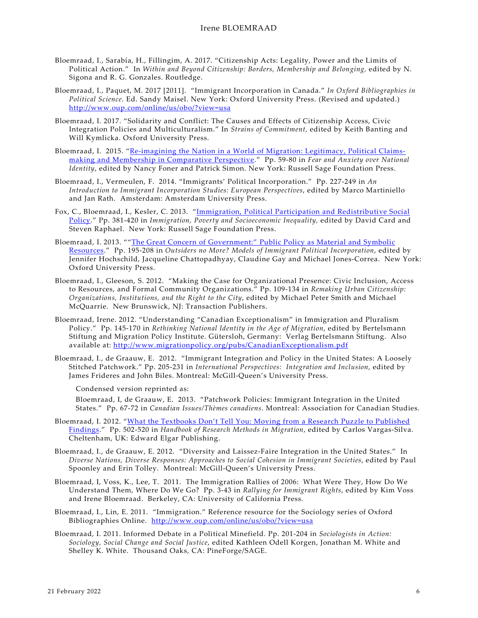- Bloemraad, I., Sarabía, H., Fillingim, A. 2017. "Citizenship Acts: Legality, Power and the Limits of Political Action." In *Within and Beyond Citizenship: Borders, Membership and Belonging,* edited by N. Sigona and R. G. Gonzales. Routledge.
- Bloemraad, I., Paquet, M. 2017 [2011]. "Immigrant Incorporation in Canada." *In Oxford Bibliographies in Political Science*. Ed. Sandy Maisel. New York: Oxford University Press. (Revised and updated.) <http://www.oup.com/online/us/obo/?view=usa>
- Bloemraad, I. 2017. "Solidarity and Conflict: The Causes and Effects of Citizenship Access, Civic Integration Policies and Multiculturalism." In *Strains of Commitment,* edited by Keith Banting and Will Kymlicka. Oxford University Press.
- Bloemraad, I. 2015. ["Re-imagining the Nation in a World of Migration: Legitimacy, Political Claims](https://www.russellsage.org/sites/all/files/fear-anxiety-and-national-identity.pdf)[making and Membership in Comparative Perspective.](https://www.russellsage.org/sites/all/files/fear-anxiety-and-national-identity.pdf)" Pp. 59-80 in *Fear and Anxiety over National Identity*, edited by Nancy Foner and Patrick Simon. New York: Russell Sage Foundation Press.
- Bloemraad, I., Vermeulen, F. 2014. "Immigrants' Political Incorporation." Pp. 227-249 in *An Introduction to Immigrant Incorporation Studies: European Perspectives*, edited by Marco Martiniello and Jan Rath. Amsterdam: Amsterdam University Press.
- Fox, C., Bloemraad, I., Kesler, C. 2013. ["Immigration, Political Participation and Redistributive Social](http://sociology.berkeley.edu/sites/default/files/faculty/bloemraad/Fox_Bloemraad_Kesler_Imm_Social_Policy_2013.pdf)  [Policy.](http://sociology.berkeley.edu/sites/default/files/faculty/bloemraad/Fox_Bloemraad_Kesler_Imm_Social_Policy_2013.pdf)" Pp. 381-420 in *Immigration, Poverty and Socioeconomic Inequality,* edited by David Card and Steven Raphael. New York: Russell Sage Foundation Press.
- Bloemraad, I. 2013. ""The Great Concern of Government:" [Public Policy as Material and Symbolic](http://sociology.berkeley.edu/sites/default/files/faculty/bloemraad/Bloemraad_Public_Policy_Resources_2013.pdf)  [Resources.](http://sociology.berkeley.edu/sites/default/files/faculty/bloemraad/Bloemraad_Public_Policy_Resources_2013.pdf)" Pp. 195-208 in *Outsiders no More? Models of Immigrant Political Incorporation*, edited by Jennifer Hochschild, Jacqueline Chattopadhyay, Claudine Gay and Michael Jones-Correa. New York: Oxford University Press.
- Bloemraad, I., Gleeson, S. 2012. "Making the Case for Organizational Presence: Civic Inclusion, Access to Resources, and Formal Community Organizations." Pp. 109-134 in *Remaking Urban Citizenship: Organizations, Institutions, and the Right to the City*, edited by Michael Peter Smith and Michael McQuarrie. New Brunswick, NJ: Transaction Publishers.
- Bloemraad, Irene. 2012. "Understanding "Canadian Exceptionalism" in Immigration and Pluralism Policy." Pp. 145-170 in *Rethinking National Identity in the Age of Migration*, edited by Bertelsmann Stiftung and Migration Policy Institute. Gütersloh, Germany: Verlag Bertelsmann Stiftung. Also available at:<http://www.migrationpolicy.org/pubs/CanadianExceptionalism.pdf>
- Bloemraad, I., de Graauw, E. 2012. "Immigrant Integration and Policy in the United States: A Loosely Stitched Patchwork." Pp. 205-231 in *International Perspectives: Integration and Inclusion*, edited by James Frideres and John Biles. Montreal: McGill-Queen's University Press.

Condensed version reprinted as:

Bloemraad, I, de Graauw, E. 2013. "Patchwork Policies: Immigrant Integration in the United States." Pp. 67-72 in *Canadian Issues/Thèmes canadiens*. Montreal: Association for Canadian Studies.

- Bloemraad, I. 2012. ["What the Textbooks Don't Tell You: Moving from a Research Puzzle to Published](http://sociology.berkeley.edu/sites/default/files/faculty/bloemraad/Bloemraad_Textbooks_Dont_Tell_2012.pdf)  [Findings.](http://sociology.berkeley.edu/sites/default/files/faculty/bloemraad/Bloemraad_Textbooks_Dont_Tell_2012.pdf)" Pp. 502-520 in *Handbook of Research Methods in Migration*, edited by Carlos Vargas-Silva. Cheltenham, UK: Edward Elgar Publishing.
- Bloemraad, I., de Graauw, E. 2012. "Diversity and Laissez-Faire Integration in the United States." In *Diverse Nations, Diverse Responses: Approaches to Social Cohesion in Immigrant Societies*, edited by Paul Spoonley and Erin Tolley. Montreal: McGill-Queen's University Press.
- Bloemraad, I, Voss, K., Lee, T. 2011. The Immigration Rallies of 2006: What Were They, How Do We Understand Them, Where Do We Go? Pp. 3-43 in *Rallying for Immigrant Rights*, edited by Kim Voss and Irene Bloemraad. Berkeley, CA: University of California Press.
- Bloemraad, I., Lin, E. 2011. "Immigration." Reference resource for the Sociology series of Oxford Bibliographies Online. <http://www.oup.com/online/us/obo/?view=usa>
- Bloemraad, I. 2011. Informed Debate in a Political Minefield. Pp. 201-204 in *Sociologists in Action: Sociology, Social Change and Social Justice*, edited Kathleen Odell Korgen, Jonathan M. White and Shelley K. White. Thousand Oaks, CA: PineForge/SAGE.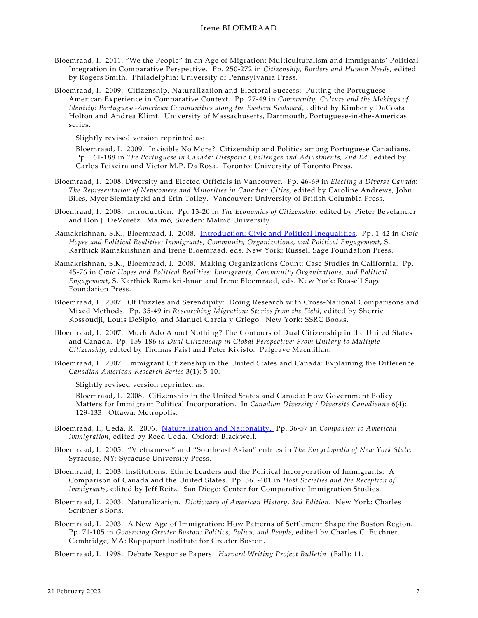- Bloemraad, I. 2011. "We the People" in an Age of Migration: Multiculturalism and Immigrants' Political Integration in Comparative Perspective. Pp. 250-272 in *Citizenship, Borders and Human Needs,* edited by Rogers Smith. Philadelphia: University of Pennsylvania Press.
- Bloemraad, I. 2009. Citizenship, Naturalization and Electoral Success: Putting the Portuguese American Experience in Comparative Context. Pp. 27-49 in *Community, Culture and the Makings of Identity: Portuguese-American Communities along the Eastern Seaboard*, edited by Kimberly DaCosta Holton and Andrea Klimt. University of Massachusetts, Dartmouth, Portuguese-in-the-Americas series.

Slightly revised version reprinted as:

Bloemraad, I. 2009. Invisible No More? Citizenship and Politics among Portuguese Canadians. Pp. 161-188 in *The Portuguese in Canada: Diasporic Challenges and Adjustments, 2nd Ed.*, edited by Carlos Teixeira and Victor M.P. Da Rosa. Toronto: University of Toronto Press.

- Bloemraad, I. 2008. Diversity and Elected Officials in Vancouver. Pp. 46-69 in *Electing a Diverse Canada: The Representation of Newcomers and Minorities in Canadian Cities*, edited by Caroline Andrews, John Biles, Myer Siemiatycki and Erin Tolley. Vancouver: University of British Columbia Press.
- Bloemraad, I. 2008. Introduction. Pp. 13-20 in *The Economics of Citizenship*, edited by Pieter Bevelander and Don J. DeVoretz. Malmö, Sweden: Malmö University.
- Ramakrishnan, S.K., Bloemraad, I. 2008. [Introduction: Civic and Political Inequalities.](http://www.russellsage.org/publications/books/080910.044245/chapter1_pdf) Pp. 1-42 in *Civic Hopes and Political Realities: Immigrants, Community Organizations, and Political Engagement*, S. Karthick Ramakrishnan and Irene Bloemraad, eds. New York: Russell Sage Foundation Press.
- Ramakrishnan, S.K., Bloemraad, I. 2008. Making Organizations Count: Case Studies in California. Pp. 45-76 in *Civic Hopes and Political Realities: Immigrants, Community Organizations, and Political Engagement*, S. Karthick Ramakrishnan and Irene Bloemraad, eds. New York: Russell Sage Foundation Press.
- Bloemraad, I. 2007. Of Puzzles and Serendipity: Doing Research with Cross-National Comparisons and Mixed Methods. Pp. 35-49 in *Researching Migration: Stories from the Field*, edited by Sherrie Kossoudji, Louis DeSipio, and Manuel Garcia y Griego. New York: SSRC Books.
- Bloemraad, I. 2007. Much Ado About Nothing? The Contours of Dual Citizenship in the United States and Canada. Pp. 159-186 *in Dual Citizenship in Global Perspective: From Unitary to Multiple Citizenship*, edited by Thomas Faist and Peter Kivisto. Palgrave Macmillan.
- Bloemraad, I. 2007. Immigrant Citizenship in the United States and Canada: Explaining the Difference. *Canadian American Research Series* 3(1): 5-10.

Slightly revised version reprinted as:

Bloemraad, I. 2008. Citizenship in the United States and Canada: How Government Policy Matters for Immigrant Political Incorporation. In *Canadian Diversity / Diversité Canadienne* 6(4): 129-133. Ottawa: Metropolis.

- Bloemraad, I., Ueda, R. 2006. [Naturalization and Nationality.](http://sociology.berkeley.edu/sites/default/files/faculty/bloemraad/Bloermaad_Ueda_Natz_Nationality_Blackwell_2006.pdf) Pp. 36-57 in *Companion to American Immigration*, edited by Reed Ueda. Oxford: Blackwell.
- Bloemraad, I. 2005. "Vietnamese" and "Southeast Asian" entries in *The Encyclopedia of New York State*. Syracuse, NY: Syracuse University Press.
- Bloemraad, I. 2003. Institutions, Ethnic Leaders and the Political Incorporation of Immigrants: A Comparison of Canada and the United States. Pp. 361-401 in *Host Societies and the Reception of Immigrants*, edited by Jeff Reitz. San Diego: Center for Comparative Immigration Studies.
- Bloemraad, I. 2003. Naturalization. *Dictionary of American History, 3rd Edition*. New York: Charles Scribner's Sons.
- Bloemraad, I. 2003. A New Age of Immigration: How Patterns of Settlement Shape the Boston Region. Pp. 71-105 in *Governing Greater Boston: Politics, Policy, and People*, edited by Charles C. Euchner. Cambridge, MA: Rappaport Institute for Greater Boston.

Bloemraad, I. 1998. Debate Response Papers. *Harvard Writing Project Bulletin* (Fall): 11.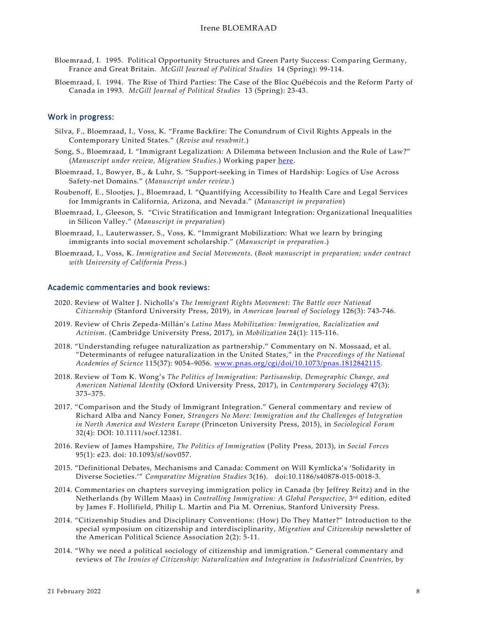- Bloemraad, I. 1995. Political Opportunity Structures and Green Party Success: Comparing Germany, France and Great Britain. *McGill Journal of Political Studies* 14 (Spring): 99-114.
- Bloemraad, I. 1994. The Rise of Third Parties: The Case of the Bloc Québécois and the Reform Party of Canada in 1993. *McGill Journal of Political Studies* 13 (Spring): 23-43.

#### Work in progress:

- Silva, F., Bloemraad, I., Voss, K. "Frame Backfire: The Conundrum of Civil Rights Appeals in the Contemporary United States." (*Revise and resubmit*.)
- Song, S., Bloemraad, I. "Immigrant Legalization: A Dilemma between Inclusion and the Rule of Law?" (*Manuscript under review, Migration Studies*.) Working paper [here.](https://hdl.handle.net/1814/71969)
- Bloemraad, I., Bowyer, B., & Luhr, S. "Support-seeking in Times of Hardship: Logics of Use Across Safety-net Domains." (*Manuscript under review*.)
- Roubenoff, E., Slootjes, J., Bloemraad, I. "Quantifying Accessibility to Health Care and Legal Services for Immigrants in California, Arizona, and Nevada." (*Manuscript in preparation*)
- Bloemraad, I., Gleeson, S. "Civic Stratification and Immigrant Integration: Organizational Inequalities in Silicon Valley." (*Manuscript in preparation*)
- Bloemraad, I., Lauterwasser, S., Voss, K. "Immigrant Mobilization: What we learn by bringing immigrants into social movement scholarship." (*Manuscript in preparation*.)
- Bloemraad, I., Voss, K. *Immigration and Social Movements*. (*Book manuscript in preparation; under contract with University of California Press*.)

### Academic commentaries and book reviews:

- 2020. Review of Walter J. Nicholls's *The Immigrant Rights Movement: The Battle over National Citizenship* (Stanford University Press, 2019), in *American Journal of Sociology* 126(3): 743-746.
- 2019. Review of Chris Zepeda-Millán's *Latino Mass Mobilization: Immigration, Racialization and Activism*. (Cambridge University Press, 2017), in *Mobilization* 24(1): 115-116.
- 2018. "Understanding refugee naturalization as partnership." Commentary on N. Mossaad, et al. "Determinants of refugee naturalization in the United States," in the *Proceedings of the National Academies of Science* 115(37): 9054–9056. [www.pnas.org/cgi/doi/10.1073/pnas.1812842115.](http://www.pnas.org/cgi/doi/10.1073/pnas.1812842115)
- 2018. Review of Tom K. Wong's *The Politics of Immigration: Partisanship, Demographic Change, and American National Identity* (Oxford University Press, 2017), in *Contemporary Sociology* 47(3): 373–375.
- 2017. "Comparison and the Study of Immigrant Integration." General commentary and review of Richard Alba and Nancy Foner, *Strangers No More: Immigration and the Challenges of Integration in North America and Western Europe* (Princeton University Press, 2015), in *Sociological Forum* 32(4): DOI: 10.1111/socf.12381.
- 2016. Review of James Hampshire, *The Politics of Immigration* (Polity Press, 2013), in *Social Forces*  95(1): e23. doi: 10.1093/sf/sov057.
- 2015. "Definitional Debates, Mechanisms and Canada: Comment on Will Kymlicka's 'Solidarity in Diverse Societies.'" *Comparative Migration Studies* 3(16). doi:10.1186/s40878-015-0018-3.
- 2014. Commentaries on chapters surveying immigration policy in Canada (by Jeffrey Reitz) and in the Netherlands (by Willem Maas) in *Controlling Immigration: A Global Perspective*, 3rd edition, edited by James F. Hollifield, Philip L. Martin and Pia M. Orrenius, Stanford University Press.
- 2014. "Citizenship Studies and Disciplinary Conventions: (How) Do They Matter?" Introduction to the special symposium on citizenship and interdisciplinarity, *Migration and Citizenship* newsletter of the American Political Science Association 2(2): 5-11.
- 2014. "Why we need a political sociology of citizenship and immigration." General commentary and reviews of *The Ironies of Citizenship: Naturalization and Integration in Industrialized Countries*, by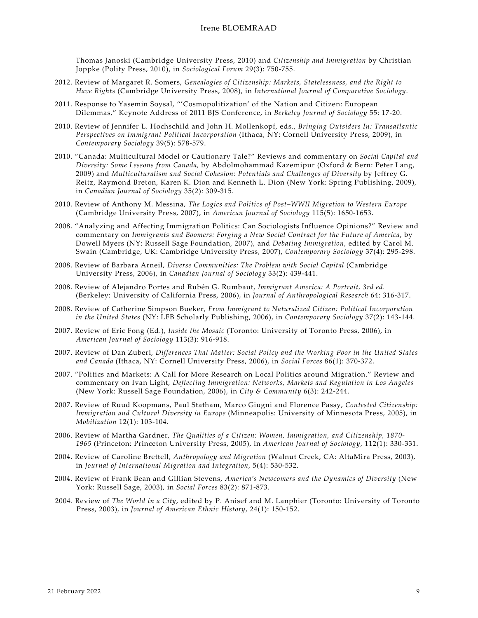Thomas Janoski (Cambridge University Press, 2010) and *Citizenship and Immigration* by Christian Joppke (Polity Press, 2010), in *Sociological Forum* 29(3): 750-755.

- 2012. Review of Margaret R. Somers, *Genealogies of Citizenship: Markets, Statelessness, and the Right to Have Rights* (Cambridge University Press, 2008), in *International Journal of Comparative Sociology*.
- 2011. Response to Yasemin Soysal, "'Cosmopolitization' of the Nation and Citizen: European Dilemmas," Keynote Address of 2011 BJS Conference, in *Berkeley Journal of Sociology* 55: 17-20.
- 2010. Review of Jennifer L. Hochschild and John H. Mollenkopf, eds., *Bringing Outsiders In: Transatlantic Perspectives on Immigrant Political Incorporation* (Ithaca, NY: Cornell University Press, 2009), in *Contemporary Sociology* 39(5): 578-579.
- 2010. "Canada: Multicultural Model or Cautionary Tale?" Reviews and commentary on *Social Capital and Diversity: Some Lessons from Canada,* by Abdolmohammad Kazemipur (Oxford & Bern: Peter Lang, 2009) and *Multiculturalism and Social Cohesion: Potentials and Challenges of Diversity* by Jeffrey G. Reitz, Raymond Breton, Karen K. Dion and Kenneth L. Dion (New York: Spring Publishing, 2009), in *Canadian Journal of Sociology* 35(2): 309-315.
- 2010. Review of Anthony M. Messina, *The Logics and Politics of Post–WWII Migration to Western Europe* (Cambridge University Press, 2007), in *American Journal of Sociology* 115(5): 1650-1653.
- 2008. "Analyzing and Affecting Immigration Politics: Can Sociologists Influence Opinions?" Review and commentary on *Immigrants and Boomers: Forging a New Social Contract for the Future of America*, by Dowell Myers (NY: Russell Sage Foundation, 2007), and *Debating Immigration*, edited by Carol M. Swain (Cambridge, UK: Cambridge University Press, 2007), *Contemporary Sociology* 37(4): 295-298.
- 2008. Review of Barbara Arneil, *Diverse Communities: The Problem with Social Capital* (Cambridge University Press, 2006), in *Canadian Journal of Sociology* 33(2): 439-441.
- 2008. Review of Alejandro Portes and Rubén G. Rumbaut, *Immigrant America: A Portrait, 3rd ed.* (Berkeley: University of California Press, 2006), in *Journal of Anthropological Research* 64: 316-317.
- 2008. Review of Catherine Simpson Bueker, *From Immigrant to Naturalized Citizen: Political Incorporation in the United States* (NY: LFB Scholarly Publishing, 2006), in *Contemporary Sociology* 37(2): 143-144.
- 2007. Review of Eric Fong (Ed.), *Inside the Mosaic* (Toronto: University of Toronto Press, 2006), in *American Journal of Sociology* 113(3): 916-918.
- 2007. Review of Dan Zuberi, *Differences That Matter: Social Policy and the Working Poor in the United States and Canada* (Ithaca, NY: Cornell University Press, 2006), in *Social Forces* 86(1): 370-372.
- 2007. "Politics and Markets: A Call for More Research on Local Politics around Migration." Review and commentary on Ivan Light, *Deflecting Immigration: Networks, Markets and Regulation in Los Angeles* (New York: Russell Sage Foundation, 2006), in *City & Community* 6(3): 242-244.
- 2007. Review of Ruud Koopmans, Paul Statham, Marco Giugni and Florence Passy, *Contested Citizenship: Immigration and Cultural Diversity in Europe* (Minneapolis: University of Minnesota Press, 2005), in *Mobilization* 12(1): 103-104.
- 2006. Review of Martha Gardner, *The Qualities of a Citizen: Women, Immigration, and Citizenship, 1870- 1965* (Princeton: Princeton University Press, 2005), in *American Journal of Sociology*, 112(1): 330-331.
- 2004. Review of Caroline Brettell, *Anthropology and Migration* (Walnut Creek, CA: AltaMira Press, 2003), in *Journal of International Migration and Integration*, 5(4): 530-532.
- 2004. Review of Frank Bean and Gillian Stevens, *America's Newcomers and the Dynamics of Diversity* (New York: Russell Sage, 2003), in *Social Forces* 83(2): 871-873.
- 2004. Review of *The World in a City*, edited by P. Anisef and M. Lanphier (Toronto: University of Toronto Press, 2003), in *Journal of American Ethnic History*, 24(1): 150-152.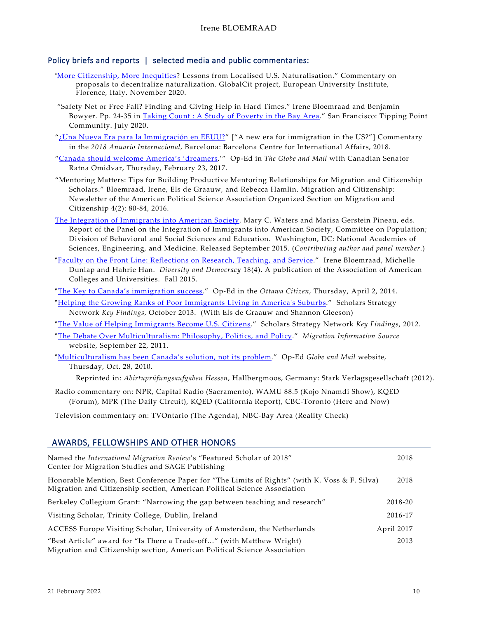### Policy briefs and reports | selected media and public commentaries:

- "[More Citizenship, More Inequities?](https://globalcit.eu/unblocking-access-to-citizenship-in-the-global-south-should-the-process-be-decentralised/3/) Lessons from Localised U.S. Naturalisation." Commentary on proposals to decentralize naturalization. GlobalCit project, European University Institute, Florence, Italy. November 2020.
- "Safety Net or Free Fall? Finding and Giving Help in Hard Times." Irene Bloemraad and Benjamin Bowyer. Pp. 24-35 in Taking Count [: A Study of Poverty in the Bay Area.](mailto:https://tippingpoint.org/wp-content/uploads/2020/07/Taking-Count-2020-A-Study-on-Poverty-in-the-Bay-Area.pdf)" San Francisco: Tipping Point Community. July 2020.
- ["¿Una Nueva Era para la Immigración en EEUU?"](mailto:http://anuariocidob.org/una-nueva-era-para-la-inmigracion-en-eeuu/) ["A new era for immigration in the US?"] Commentary in the *2018 Anuario Internacional,* Barcelona: Barcelona Centre for International Affairs, 2018.
- ["Canada should welcome America's 'dreamers.](http://www.theglobeandmail.com/opinion/keeping-the-dream-alive/article34121797/)'" Op-Ed in *The Globe and Mail* with Canadian Senator Ratna Omidvar, Thursday, February 23, 2017.
- "Mentoring Matters: Tips for Building Productive Mentoring Relationships for Migration and Citizenship Scholars." Bloemraad, Irene, Els de Graauw, and Rebecca Hamlin. Migration and Citizenship: Newsletter of the American Political Science Association Organized Section on Migration and Citizenship 4(2): 80-84, 2016.
- [The Integration of Immigrants into American Society.](http://www.nap.edu/catalog/21746/the-integration-of-immigrants-into-american-society) Mary C. Waters and Marisa Gerstein Pineau, eds. Report of the Panel on the Integration of Immigrants into American Society, Committee on Population; Division of Behavioral and Social Sciences and Education. Washington, DC: National Academies of Sciences, Engineering, and Medicine. Released September 2015. (*Contributing author and panel member*.)
- "[Faculty on the Front Line: Reflections on Research, Teaching, and Service.](http://www.aacu.org/diversitydemocracy/2015/fall/bloemraad)" Irene Bloemraad, Michelle Dunlap and Hahrie Han. *Diversity and Democracy* 18(4). A publication of the Association of American Colleges and Universities. Fall 2015.
- "[The Key to Canada's immigration success.](http://www.ottawacitizen.com/opinion/op-ed/Canada+immigration+success/9691875/story.html)" Op-Ed in the *Ottawa Citizen*, Thursday, April 2, 2014.
- "[Helping the Growing Ranks of Poor Immigrants Living in America's Suburbs.](https://scholars.org/brief/helping-growing-ranks-poor-immigrants-living-americas-suburbs)" Scholars Strategy Network *Key Findings*, October 2013. (With Els de Graauw and Shannon Gleeson)

"[The Value of Helping Immigrants Become U.S. Citizens.](http://www.scholarsstrategynetwork.org/brief/value-helping-immigrants-become-us-citizens)" Scholars Strategy Network *Key Findings*, 2012.

"[The Debate Over Multiculturalism: Philosophy, Politics, and Policy.](http://www.migrationinformation.org/Feature/display.cfm?ID=854)" *Migration Information Source* website, September 22, 2011.

"[Multiculturalism has been Canada's solution, not its problem.](http://www.theglobeandmail.com/news/opinions/%20opinion/multiculturalism-has-been-canadas-solution-not-its-problem/article1775471/)" Op-Ed *Globe and Mail* website, Thursday, Oct. 28, 2010.

Reprinted in: *Abirtuprüfungsaufgaben Hessen*, Hallbergmoos, Germany: Stark Verlagsgesellschaft (2012).

Radio commentary on: NPR, Capital Radio (Sacramento), WAMU 88.5 (Kojo Nnamdi Show), KQED (Forum), MPR (The Daily Circuit), KQED (California Report), CBC-Toronto (Here and Now)

Television commentary on: TVOntario (The Agenda), NBC-Bay Area (Reality Check)

# AWARDS, FELLOWSHIPS AND OTHER HONORS

| Named the International Migration Review's "Featured Scholar of 2018"<br>Center for Migration Studies and SAGE Publishing                                                  | 2018       |
|----------------------------------------------------------------------------------------------------------------------------------------------------------------------------|------------|
| Honorable Mention, Best Conference Paper for "The Limits of Rights" (with K. Voss & F. Silva)<br>Migration and Citizenship section, American Political Science Association | 2018       |
| Berkeley Collegium Grant: "Narrowing the gap between teaching and research"                                                                                                | 2018-20    |
| Visiting Scholar, Trinity College, Dublin, Ireland                                                                                                                         | 2016-17    |
| ACCESS Europe Visiting Scholar, University of Amsterdam, the Netherlands                                                                                                   | April 2017 |
| "Best Article" award for "Is There a Trade-off" (with Matthew Wright)<br>Migration and Citizenship section, American Political Science Association                         | 2013       |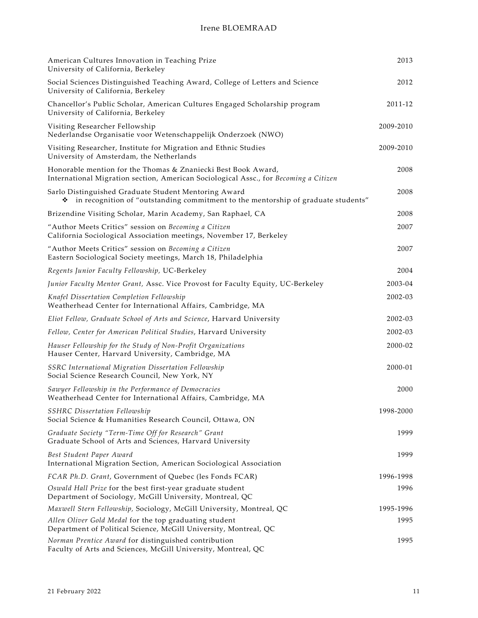| American Cultures Innovation in Teaching Prize<br>University of California, Berkeley                                                                  | 2013      |
|-------------------------------------------------------------------------------------------------------------------------------------------------------|-----------|
| Social Sciences Distinguished Teaching Award, College of Letters and Science<br>University of California, Berkeley                                    | 2012      |
| Chancellor's Public Scholar, American Cultures Engaged Scholarship program<br>University of California, Berkeley                                      | 2011-12   |
| Visiting Researcher Fellowship<br>Nederlandse Organisatie voor Wetenschappelijk Onderzoek (NWO)                                                       | 2009-2010 |
| Visiting Researcher, Institute for Migration and Ethnic Studies<br>University of Amsterdam, the Netherlands                                           | 2009-2010 |
| Honorable mention for the Thomas & Znaniecki Best Book Award,<br>International Migration section, American Sociological Assc., for Becoming a Citizen | 2008      |
| Sarlo Distinguished Graduate Student Mentoring Award<br>in recognition of "outstanding commitment to the mentorship of graduate students"<br>❖        | 2008      |
| Brizendine Visiting Scholar, Marin Academy, San Raphael, CA                                                                                           | 2008      |
| "Author Meets Critics" session on Becoming a Citizen<br>California Sociological Association meetings, November 17, Berkeley                           | 2007      |
| "Author Meets Critics" session on Becoming a Citizen<br>Eastern Sociological Society meetings, March 18, Philadelphia                                 | 2007      |
| Regents Junior Faculty Fellowship, UC-Berkeley                                                                                                        | 2004      |
| Junior Faculty Mentor Grant, Assc. Vice Provost for Faculty Equity, UC-Berkeley                                                                       | 2003-04   |
| Knafel Dissertation Completion Fellowship<br>Weatherhead Center for International Affairs, Cambridge, MA                                              | 2002-03   |
| Eliot Fellow, Graduate School of Arts and Science, Harvard University                                                                                 | 2002-03   |
| Fellow, Center for American Political Studies, Harvard University                                                                                     | 2002-03   |
| Hauser Fellowship for the Study of Non-Profit Organizations<br>Hauser Center, Harvard University, Cambridge, MA                                       | 2000-02   |
| SSRC International Migration Dissertation Fellowship<br>Social Science Research Council, New York, NY                                                 | 2000-01   |
| Sawyer Fellowship in the Performance of Democracies<br>Weatherhead Center for International Affairs, Cambridge, MA                                    | 2000      |
| <b>SSHRC Dissertation Fellowship</b><br>Social Science & Humanities Research Council, Ottawa, ON                                                      | 1998-2000 |
| Graduate Society "Term-Time Off for Research" Grant<br>Graduate School of Arts and Sciences, Harvard University                                       | 1999      |
| Best Student Paper Award<br>International Migration Section, American Sociological Association                                                        | 1999      |
| FCAR Ph.D. Grant, Government of Quebec (les Fonds FCAR)                                                                                               | 1996-1998 |
| Oswald Hall Prize for the best first-year graduate student<br>Department of Sociology, McGill University, Montreal, QC                                | 1996      |
| Maxwell Stern Fellowship, Sociology, McGill University, Montreal, QC                                                                                  | 1995-1996 |
| Allen Oliver Gold Medal for the top graduating student<br>Department of Political Science, McGill University, Montreal, QC                            | 1995      |
| Norman Prentice Award for distinguished contribution<br>Faculty of Arts and Sciences, McGill University, Montreal, QC                                 | 1995      |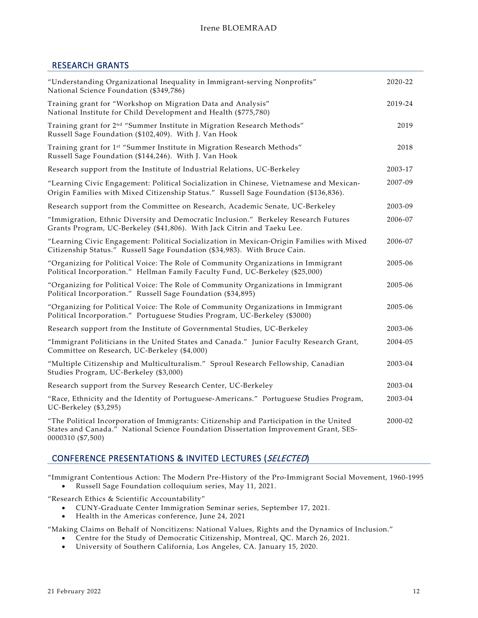## RESEARCH GRANTS

| "Understanding Organizational Inequality in Immigrant-serving Nonprofits"<br>National Science Foundation (\$349,786)                                                                                 | 2020-22 |
|------------------------------------------------------------------------------------------------------------------------------------------------------------------------------------------------------|---------|
| Training grant for "Workshop on Migration Data and Analysis"<br>National Institute for Child Development and Health (\$775,780)                                                                      | 2019-24 |
| Training grant for 2 <sup>nd</sup> "Summer Institute in Migration Research Methods"<br>Russell Sage Foundation (\$102,409). With J. Van Hook                                                         | 2019    |
| Training grant for 1st "Summer Institute in Migration Research Methods"<br>Russell Sage Foundation (\$144,246). With J. Van Hook                                                                     | 2018    |
| Research support from the Institute of Industrial Relations, UC-Berkeley                                                                                                                             | 2003-17 |
| "Learning Civic Engagement: Political Socialization in Chinese, Vietnamese and Mexican-<br>Origin Families with Mixed Citizenship Status." Russell Sage Foundation (\$136,836).                      | 2007-09 |
| Research support from the Committee on Research, Academic Senate, UC-Berkeley                                                                                                                        | 2003-09 |
| "Immigration, Ethnic Diversity and Democratic Inclusion." Berkeley Research Futures<br>Grants Program, UC-Berkeley (\$41,806). With Jack Citrin and Taeku Lee.                                       | 2006-07 |
| "Learning Civic Engagement: Political Socialization in Mexican-Origin Families with Mixed<br>Citizenship Status." Russell Sage Foundation (\$34,983). With Bruce Cain.                               | 2006-07 |
| "Organizing for Political Voice: The Role of Community Organizations in Immigrant<br>Political Incorporation." Hellman Family Faculty Fund, UC-Berkeley (\$25,000)                                   | 2005-06 |
| "Organizing for Political Voice: The Role of Community Organizations in Immigrant<br>Political Incorporation." Russell Sage Foundation (\$34,895)                                                    | 2005-06 |
| "Organizing for Political Voice: The Role of Community Organizations in Immigrant<br>Political Incorporation." Portuguese Studies Program, UC-Berkeley (\$3000)                                      | 2005-06 |
| Research support from the Institute of Governmental Studies, UC-Berkeley                                                                                                                             | 2003-06 |
| "Immigrant Politicians in the United States and Canada." Junior Faculty Research Grant,<br>Committee on Research, UC-Berkeley (\$4,000)                                                              | 2004-05 |
| "Multiple Citizenship and Multiculturalism." Sproul Research Fellowship, Canadian<br>Studies Program, UC-Berkeley (\$3,000)                                                                          | 2003-04 |
| Research support from the Survey Research Center, UC-Berkeley                                                                                                                                        | 2003-04 |
| "Race, Ethnicity and the Identity of Portuguese-Americans." Portuguese Studies Program,<br>UC-Berkeley (\$3,295)                                                                                     | 2003-04 |
| "The Political Incorporation of Immigrants: Citizenship and Participation in the United<br>States and Canada." National Science Foundation Dissertation Improvement Grant, SES-<br>0000310 (\$7,500) | 2000-02 |

# CONFERENCE PRESENTATIONS & INVITED LECTURES (SELECTED)

"Immigrant Contentious Action: The Modern Pre-History of the Pro-Immigrant Social Movement, 1960-1995 • Russell Sage Foundation colloquium series, May 11, 2021.

"Research Ethics & Scientific Accountability"

- CUNY-Graduate Center Immigration Seminar series, September 17, 2021.
- Health in the Americas conference, June 24, 2021

"Making Claims on Behalf of Noncitizens: National Values, Rights and the Dynamics of Inclusion."

- Centre for the Study of Democratic Citizenship, Montreal, QC. March 26, 2021.
- University of Southern California, Los Angeles, CA. January 15, 2020.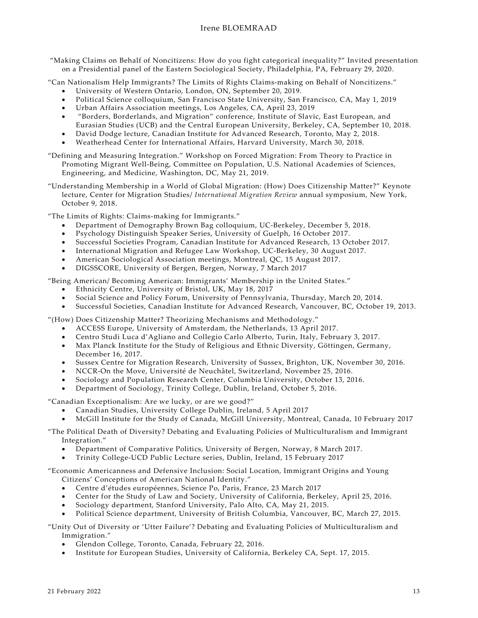"Making Claims on Behalf of Noncitizens: How do you fight categorical inequality?" Invited presentation on a Presidential panel of the Eastern Sociological Society, Philadelphia, PA, February 29, 2020.

"Can Nationalism Help Immigrants? The Limits of Rights Claims-making on Behalf of Noncitizens."

- University of Western Ontario, London, ON, September 20, 2019.
- Political Science colloquium, San Francisco State University, San Francisco, CA, May 1, 2019
- Urban Affairs Association meetings, Los Angeles, CA, April 23, 2019
- "Borders, Borderlands, and Migration" conference, Institute of Slavic, East European, and Eurasian Studies (UCB) and the Central European University, Berkeley, CA, September 10, 2018.
- David Dodge lecture, Canadian Institute for Advanced Research, Toronto, May 2, 2018.
- Weatherhead Center for International Affairs, Harvard University, March 30, 2018.

"Defining and Measuring Integration." Workshop on Forced Migration: From Theory to Practice in Promoting Migrant Well-Being, Committee on Population, U.S. National Academies of Sciences, Engineering, and Medicine, Washington, DC, May 21, 2019.

"Understanding Membership in a World of Global Migration: (How) Does Citizenship Matter?" Keynote lecture, Center for Migration Studies/ *International Migration Review* annual symposium, New York, October 9, 2018.

"The Limits of Rights: Claims-making for Immigrants."

- Department of Demography Brown Bag colloquium, UC-Berkeley, December 5, 2018.
- Psychology Distinguish Speaker Series, University of Guelph, 16 October 2017.
- Successful Societies Program, Canadian Institute for Advanced Research, 13 October 2017.
- International Migration and Refugee Law Workshop, UC-Berkeley, 30 August 2017.
- American Sociological Association meetings, Montreal, QC, 15 August 2017.
- DIGSSCORE, University of Bergen, Bergen, Norway, 7 March 2017

"Being American/ Becoming American: Immigrants' Membership in the United States."

- Ethnicity Centre, University of Bristol, UK, May 18, 2017
- Social Science and Policy Forum, University of Pennsylvania, Thursday, March 20, 2014.
- Successful Societies, Canadian Institute for Advanced Research, Vancouver, BC, October 19, 2013.

"(How) Does Citizenship Matter? Theorizing Mechanisms and Methodology."

- ACCESS Europe, University of Amsterdam, the Netherlands, 13 April 2017.
- Centro Studi Luca d'Agliano and Collegio Carlo Alberto, Turin, Italy, February 3, 2017.
- Max Planck Institute for the Study of Religious and Ethnic Diversity, Göttingen, Germany, December 16, 2017.
- Sussex Centre for Migration Research, University of Sussex, Brighton, UK, November 30, 2016.
- NCCR-On the Move, Université de Neuchâtel, Switzerland, November 25, 2016.
- Sociology and Population Research Center, Columbia University, October 13, 2016.
- Department of Sociology, Trinity College, Dublin, Ireland, October 5, 2016.

"Canadian Exceptionalism: Are we lucky, or are we good?"

- Canadian Studies, University College Dublin, Ireland, 5 April 2017
- McGill Institute for the Study of Canada, McGill University, Montreal, Canada, 10 February 2017
- "The Political Death of Diversity? Debating and Evaluating Policies of Multiculturalism and Immigrant Integration."
	- Department of Comparative Politics, University of Bergen, Norway, 8 March 2017.
	- Trinity College-UCD Public Lecture series, Dublin, Ireland, 15 February 2017

"Economic Americanness and Defensive Inclusion: Social Location, Immigrant Origins and Young Citizens' Conceptions of American National Identity."

- Centre d'études européennes, Science Po, Paris, France, 23 March 2017
- Center for the Study of Law and Society, University of California, Berkeley, April 25, 2016.
- Sociology department, Stanford University, Palo Alto, CA, May 21, 2015.
- Political Science department, University of British Columbia, Vancouver, BC, March 27, 2015.

"Unity Out of Diversity or 'Utter Failure'? Debating and Evaluating Policies of Multiculturalism and Immigration."

- Glendon College, Toronto, Canada, February 22, 2016.
- Institute for European Studies, University of California, Berkeley CA, Sept. 17, 2015.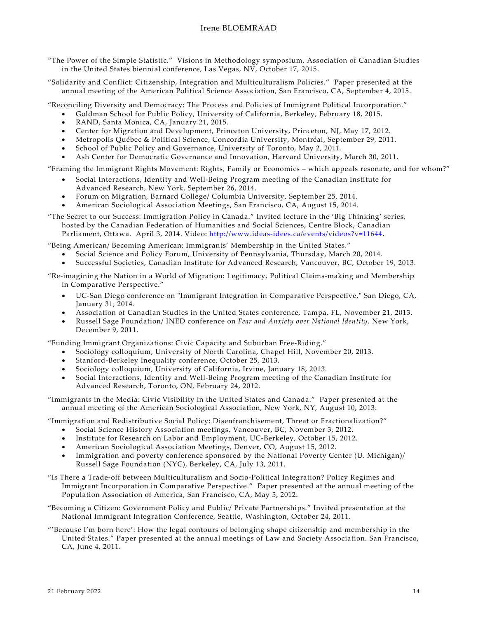- "The Power of the Simple Statistic." Visions in Methodology symposium, Association of Canadian Studies in the United States biennial conference, Las Vegas, NV, October 17, 2015.
- "Solidarity and Conflict: Citizenship, Integration and Multiculturalism Policies." Paper presented at the annual meeting of the American Political Science Association, San Francisco, CA, September 4, 2015.

"Reconciling Diversity and Democracy: The Process and Policies of Immigrant Political Incorporation."

- Goldman School for Public Policy, University of California, Berkeley, February 18, 2015.
- RAND, Santa Monica, CA, January 21, 2015.
- Center for Migration and Development, Princeton University, Princeton, NJ, May 17, 2012.
- Metropolis Québec & Political Science, Concordia University, Montréal, September 29, 2011.
- School of Public Policy and Governance, University of Toronto, May 2, 2011.
- Ash Center for Democratic Governance and Innovation, Harvard University, March 30, 2011.

"Framing the Immigrant Rights Movement: Rights, Family or Economics – which appeals resonate, and for whom?"

- Social Interactions, Identity and Well-Being Program meeting of the Canadian Institute for Advanced Research, New York, September 26, 2014.
- Forum on Migration, Barnard College/ Columbia University, September 25, 2014.
- American Sociological Association Meetings, San Francisco, CA, August 15, 2014.
- "The Secret to our Success: Immigration Policy in Canada." Invited lecture in the 'Big Thinking' series, hosted by the Canadian Federation of Humanities and Social Sciences, Centre Block, Canadian Parliament, Ottawa. April 3, 2014. Video:<http://www.ideas-idees.ca/events/videos?v=11644>.

"Being American/ Becoming American: Immigrants' Membership in the United States."

- Social Science and Policy Forum, University of Pennsylvania, Thursday, March 20, 2014.
- Successful Societies, Canadian Institute for Advanced Research, Vancouver, BC, October 19, 2013.

"Re-imagining the Nation in a World of Migration: Legitimacy, Political Claims-making and Membership in Comparative Perspective."

- UC-San Diego conference on "Immigrant Integration in Comparative Perspective," San Diego, CA, January 31, 2014.
- Association of Canadian Studies in the United States conference, Tampa, FL, November 21, 2013.
- Russell Sage Foundation/ INED conference on *Fear and Anxiety over National Identity*. New York, December 9, 2011.

"Funding Immigrant Organizations: Civic Capacity and Suburban Free-Riding."

- Sociology colloquium, University of North Carolina, Chapel Hill, November 20, 2013.
- Stanford-Berkeley Inequality conference, October 25, 2013.
- Sociology colloquium, University of California, Irvine, January 18, 2013.
- Social Interactions, Identity and Well-Being Program meeting of the Canadian Institute for Advanced Research, Toronto, ON, February 24, 2012.
- "Immigrants in the Media: Civic Visibility in the United States and Canada." Paper presented at the annual meeting of the American Sociological Association, New York, NY, August 10, 2013.

"Immigration and Redistributive Social Policy: Disenfranchisement, Threat or Fractionalization?"

- Social Science History Association meetings, Vancouver, BC, November 3, 2012.
- Institute for Research on Labor and Employment, UC-Berkeley, October 15, 2012.
- American Sociological Association Meetings, Denver, CO, August 15, 2012.
- Immigration and poverty conference sponsored by the National Poverty Center (U. Michigan)/ Russell Sage Foundation (NYC), Berkeley, CA, July 13, 2011.
- "Is There a Trade-off between Multiculturalism and Socio-Political Integration? Policy Regimes and Immigrant Incorporation in Comparative Perspective." Paper presented at the annual meeting of the Population Association of America, San Francisco, CA, May 5, 2012.
- "Becoming a Citizen: Government Policy and Public/ Private Partnerships." Invited presentation at the National Immigrant Integration Conference, Seattle, Washington, October 24, 2011.
- "'Because I'm born here': How the legal contours of belonging shape citizenship and membership in the United States." Paper presented at the annual meetings of Law and Society Association. San Francisco, CA, June 4, 2011.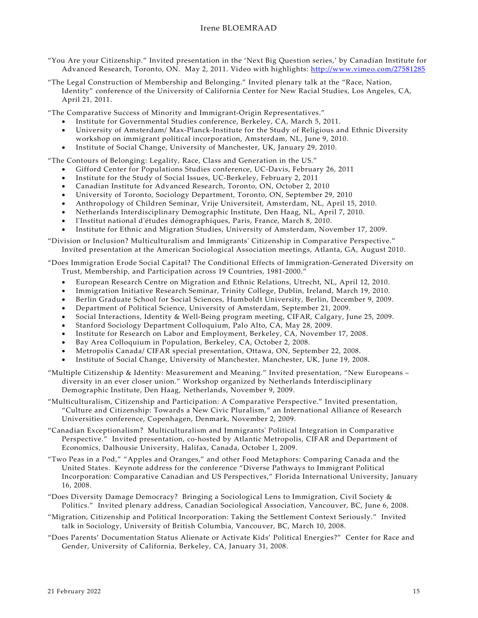- "You Are your Citizenship." Invited presentation in the 'Next Big Question series,' by Canadian Institute for Advanced Research, Toronto, ON. May 2, 2011. Video with highlights: <http://www.vimeo.com/27581285>
- "The Legal Construction of Membership and Belonging." Invited plenary talk at the "Race, Nation, Identity" conference of the University of California Center for New Racial Studies, Los Angeles, CA, April 21, 2011.

"The Comparative Success of Minority and Immigrant-Origin Representatives."

- Institute for Governmental Studies conference, Berkeley, CA, March 5, 2011.
- University of Amsterdam/ Max-Planck-Institute for the Study of Religious and Ethnic Diversity workshop on immigrant political incorporation, Amsterdam, NL, June 9, 2010.
- Institute of Social Change, University of Manchester, UK, January 29, 2010.

"The Contours of Belonging: Legality, Race, Class and Generation in the US."

- Gifford Center for Populations Studies conference, UC-Davis, February 26, 2011
- Institute for the Study of Social Issues, UC-Berkeley, February 2, 2011
- Canadian Institute for Advanced Research, Toronto, ON, October 2, 2010
- University of Toronto, Sociology Department, Toronto, ON, September 29, 2010
- Anthropology of Children Seminar, Vrije Universiteit, Amsterdam, NL, April 15, 2010.
- Netherlands Interdisciplinary Demographic Institute, Den Haag, NL, April 7, 2010.
- l'Institut national d'études démographiques, Paris, France, March 8, 2010.
- Institute for Ethnic and Migration Studies, University of Amsterdam, November 17, 2009.
- "Division or Inclusion? Multiculturalism and Immigrants' Citizenship in Comparative Perspective." Invited presentation at the American Sociological Association meetings, Atlanta, GA, August 2010.

"Does Immigration Erode Social Capital? The Conditional Effects of Immigration-Generated Diversity on Trust, Membership, and Participation across 19 Countries, 1981-2000."

- European Research Centre on Migration and Ethnic Relations, Utrecht, NL, April 12, 2010.
- Immigration Initiative Research Seminar, Trinity College, Dublin, Ireland, March 19, 2010.
- Berlin Graduate School for Social Sciences, Humboldt University, Berlin, December 9, 2009.
- Department of Political Science, University of Amsterdam, September 21, 2009.
- Social Interactions, Identity & Well-Being program meeting, CIFAR, Calgary, June 25, 2009.
- Stanford Sociology Department Colloquium, Palo Alto, CA, May 28, 2009.
- Institute for Research on Labor and Employment, Berkeley, CA, November 17, 2008.
- Bay Area Colloquium in Population, Berkeley, CA, October 2, 2008.
- Metropolis Canada/ CIFAR special presentation, Ottawa, ON, September 22, 2008.
- Institute of Social Change, University of Manchester, Manchester, UK, June 19, 2008.
- "Multiple Citizenship & Identity: Measurement and Meaning." Invited presentation, "New Europeans diversity in an ever closer union." Workshop organized by Netherlands Interdisciplinary Demographic Institute, Den Haag, Netherlands, November 9, 2009.
- "Multiculturalism, Citizenship and Participation: A Comparative Perspective." Invited presentation, "Culture and Citizenship: Towards a New Civic Pluralism," an International Alliance of Research Universities conference, Copenhagen, Denmark, November 2, 2009.
- "Canadian Exceptionalism? Multiculturalism and Immigrants' Political Integration in Comparative Perspective." Invited presentation, co-hosted by Atlantic Metropolis, CIFAR and Department of Economics, Dalhousie University, Halifax, Canada, October 1, 2009.
- "Two Peas in a Pod," "Apples and Oranges," and other Food Metaphors: Comparing Canada and the United States. Keynote address for the conference "Diverse Pathways to Immigrant Political Incorporation: Comparative Canadian and US Perspectives," Florida International University, January 16, 2008.

"Does Diversity Damage Democracy? Bringing a Sociological Lens to Immigration, Civil Society & Politics." Invited plenary address, Canadian Sociological Association, Vancouver, BC, June 6, 2008.

- "Migration, Citizenship and Political Incorporation: Taking the Settlement Context Seriously." Invited talk in Sociology, University of British Columbia, Vancouver, BC, March 10, 2008.
- "Does Parents' Documentation Status Alienate or Activate Kids' Political Energies?" Center for Race and Gender, University of California, Berkeley, CA, January 31, 2008.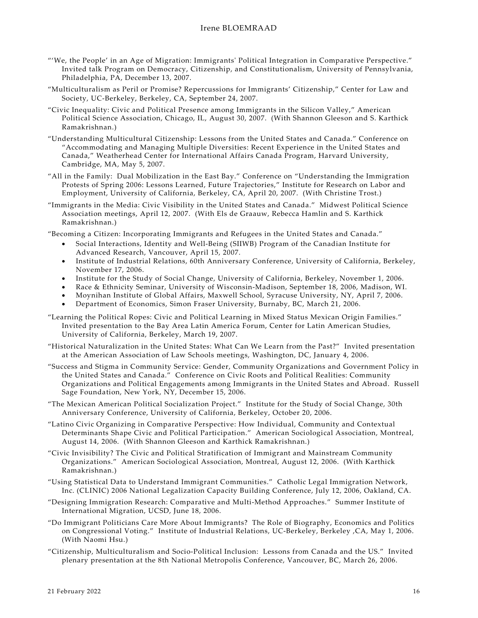- "'We, the People' in an Age of Migration: Immigrants' Political Integration in Comparative Perspective." Invited talk Program on Democracy, Citizenship, and Constitutionalism, University of Pennsylvania, Philadelphia, PA, December 13, 2007.
- "Multiculturalism as Peril or Promise? Repercussions for Immigrants' Citizenship," Center for Law and Society, UC-Berkeley, Berkeley, CA, September 24, 2007.
- "Civic Inequality: Civic and Political Presence among Immigrants in the Silicon Valley," American Political Science Association, Chicago, IL, August 30, 2007. (With Shannon Gleeson and S. Karthick Ramakrishnan.)
- "Understanding Multicultural Citizenship: Lessons from the United States and Canada." Conference on "Accommodating and Managing Multiple Diversities: Recent Experience in the United States and Canada," Weatherhead Center for International Affairs Canada Program, Harvard University, Cambridge, MA, May 5, 2007.
- "All in the Family: Dual Mobilization in the East Bay." Conference on "Understanding the Immigration Protests of Spring 2006: Lessons Learned, Future Trajectories," Institute for Research on Labor and Employment, University of California, Berkeley, CA, April 20, 2007. (With Christine Trost.)
- "Immigrants in the Media: Civic Visibility in the United States and Canada." Midwest Political Science Association meetings, April 12, 2007. (With Els de Graauw, Rebecca Hamlin and S. Karthick Ramakrishnan.)

"Becoming a Citizen: Incorporating Immigrants and Refugees in the United States and Canada."

- Social Interactions, Identity and Well-Being (SIIWB) Program of the Canadian Institute for Advanced Research, Vancouver, April 15, 2007.
- Institute of Industrial Relations, 60th Anniversary Conference, University of California, Berkeley, November 17, 2006.
- Institute for the Study of Social Change, University of California, Berkeley, November 1, 2006.
- Race & Ethnicity Seminar, University of Wisconsin-Madison, September 18, 2006, Madison, WI.
- Moynihan Institute of Global Affairs, Maxwell School, Syracuse University, NY, April 7, 2006.
- Department of Economics, Simon Fraser University, Burnaby, BC, March 21, 2006.
- "Learning the Political Ropes: Civic and Political Learning in Mixed Status Mexican Origin Families." Invited presentation to the Bay Area Latin America Forum, Center for Latin American Studies, University of California, Berkeley, March 19, 2007.
- "Historical Naturalization in the United States: What Can We Learn from the Past?" Invited presentation at the American Association of Law Schools meetings, Washington, DC, January 4, 2006.
- "Success and Stigma in Community Service: Gender, Community Organizations and Government Policy in the United States and Canada." Conference on Civic Roots and Political Realities: Community Organizations and Political Engagements among Immigrants in the United States and Abroad. Russell Sage Foundation, New York, NY, December 15, 2006.
- "The Mexican American Political Socialization Project." Institute for the Study of Social Change, 30th Anniversary Conference, University of California, Berkeley, October 20, 2006.
- "Latino Civic Organizing in Comparative Perspective: How Individual, Community and Contextual Determinants Shape Civic and Political Participation." American Sociological Association, Montreal, August 14, 2006. (With Shannon Gleeson and Karthick Ramakrishnan.)
- "Civic Invisibility? The Civic and Political Stratification of Immigrant and Mainstream Community Organizations." American Sociological Association, Montreal, August 12, 2006. (With Karthick Ramakrishnan.)
- "Using Statistical Data to Understand Immigrant Communities." Catholic Legal Immigration Network, Inc. (CLINIC) 2006 National Legalization Capacity Building Conference, July 12, 2006, Oakland, CA.
- "Designing Immigration Research: Comparative and Multi-Method Approaches." Summer Institute of International Migration, UCSD, June 18, 2006.
- "Do Immigrant Politicians Care More About Immigrants? The Role of Biography, Economics and Politics on Congressional Voting." Institute of Industrial Relations, UC-Berkeley, Berkeley ,CA, May 1, 2006. (With Naomi Hsu.)
- "Citizenship, Multiculturalism and Socio-Political Inclusion: Lessons from Canada and the US." Invited plenary presentation at the 8th National Metropolis Conference, Vancouver, BC, March 26, 2006.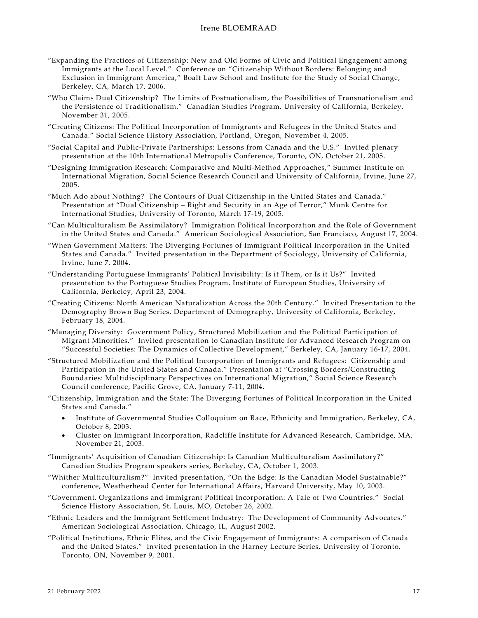- "Expanding the Practices of Citizenship: New and Old Forms of Civic and Political Engagement among Immigrants at the Local Level." Conference on "Citizenship Without Borders: Belonging and Exclusion in Immigrant America," Boalt Law School and Institute for the Study of Social Change, Berkeley, CA, March 17, 2006.
- "Who Claims Dual Citizenship? The Limits of Postnationalism, the Possibilities of Transnationalism and the Persistence of Traditionalism." Canadian Studies Program, University of California, Berkeley, November 31, 2005.
- "Creating Citizens: The Political Incorporation of Immigrants and Refugees in the United States and Canada." Social Science History Association, Portland, Oregon, November 4, 2005.
- "Social Capital and Public-Private Partnerships: Lessons from Canada and the U.S." Invited plenary presentation at the 10th International Metropolis Conference, Toronto, ON, October 21, 2005.
- "Designing Immigration Research: Comparative and Multi-Method Approaches," Summer Institute on International Migration, Social Science Research Council and University of California, Irvine, June 27, 2005.
- "Much Ado about Nothing? The Contours of Dual Citizenship in the United States and Canada." Presentation at "Dual Citizenship – Right and Security in an Age of Terror," Munk Centre for International Studies, University of Toronto, March 17-19, 2005.
- "Can Multiculturalism Be Assimilatory? Immigration Political Incorporation and the Role of Government in the United States and Canada." American Sociological Association, San Francisco, August 17, 2004.
- "When Government Matters: The Diverging Fortunes of Immigrant Political Incorporation in the United States and Canada." Invited presentation in the Department of Sociology, University of California, Irvine, June 7, 2004.
- "Understanding Portuguese Immigrants' Political Invisibility: Is it Them, or Is it Us?" Invited presentation to the Portuguese Studies Program, Institute of European Studies, University of California, Berkeley, April 23, 2004.
- "Creating Citizens: North American Naturalization Across the 20th Century." Invited Presentation to the Demography Brown Bag Series, Department of Demography, University of California, Berkeley, February 18, 2004.
- "Managing Diversity: Government Policy, Structured Mobilization and the Political Participation of Migrant Minorities." Invited presentation to Canadian Institute for Advanced Research Program on "Successful Societies: The Dynamics of Collective Development," Berkeley, CA, January 16-17, 2004.
- "Structured Mobilization and the Political Incorporation of Immigrants and Refugees: Citizenship and Participation in the United States and Canada." Presentation at "Crossing Borders/Constructing Boundaries: Multidisciplinary Perspectives on International Migration," Social Science Research Council conference, Pacific Grove, CA, January 7-11, 2004.
- "Citizenship, Immigration and the State: The Diverging Fortunes of Political Incorporation in the United States and Canada."
	- Institute of Governmental Studies Colloquium on Race, Ethnicity and Immigration, Berkeley, CA, October 8, 2003.
	- Cluster on Immigrant Incorporation, Radcliffe Institute for Advanced Research, Cambridge, MA, November 21, 2003.
- "Immigrants' Acquisition of Canadian Citizenship: Is Canadian Multiculturalism Assimilatory?" Canadian Studies Program speakers series, Berkeley, CA, October 1, 2003.
- "Whither Multiculturalism?" Invited presentation, "On the Edge: Is the Canadian Model Sustainable?" conference, Weatherhead Center for International Affairs, Harvard University, May 10, 2003.
- "Government, Organizations and Immigrant Political Incorporation: A Tale of Two Countries." Social Science History Association, St. Louis, MO, October 26, 2002.
- "Ethnic Leaders and the Immigrant Settlement Industry: The Development of Community Advocates." American Sociological Association, Chicago, IL, August 2002.
- "Political Institutions, Ethnic Elites, and the Civic Engagement of Immigrants: A comparison of Canada and the United States." Invited presentation in the Harney Lecture Series, University of Toronto, Toronto, ON, November 9, 2001.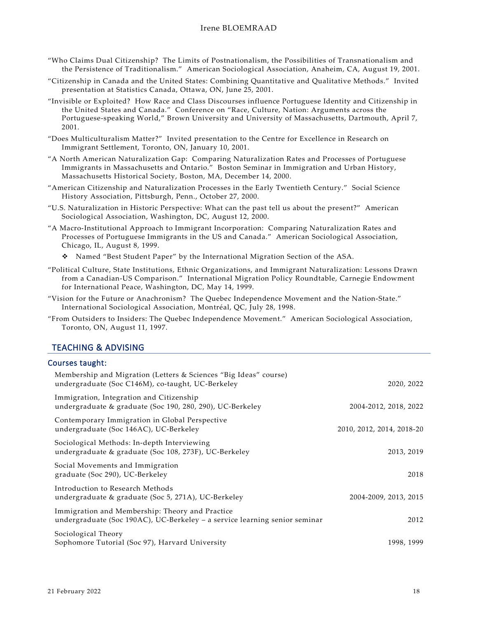- "Who Claims Dual Citizenship? The Limits of Postnationalism, the Possibilities of Transnationalism and the Persistence of Traditionalism." American Sociological Association, Anaheim, CA, August 19, 2001.
- "Citizenship in Canada and the United States: Combining Quantitative and Qualitative Methods." Invited presentation at Statistics Canada, Ottawa, ON, June 25, 2001.
- "Invisible or Exploited? How Race and Class Discourses influence Portuguese Identity and Citizenship in the United States and Canada." Conference on "Race, Culture, Nation: Arguments across the Portuguese-speaking World," Brown University and University of Massachusetts, Dartmouth, April 7, 2001.
- "Does Multiculturalism Matter?" Invited presentation to the Centre for Excellence in Research on Immigrant Settlement, Toronto, ON, January 10, 2001.
- "A North American Naturalization Gap: Comparing Naturalization Rates and Processes of Portuguese Immigrants in Massachusetts and Ontario." Boston Seminar in Immigration and Urban History, Massachusetts Historical Society, Boston, MA, December 14, 2000.
- "American Citizenship and Naturalization Processes in the Early Twentieth Century." Social Science History Association, Pittsburgh, Penn., October 27, 2000.
- "U.S. Naturalization in Historic Perspective: What can the past tell us about the present?" American Sociological Association, Washington, DC, August 12, 2000.
- "A Macro-Institutional Approach to Immigrant Incorporation: Comparing Naturalization Rates and Processes of Portuguese Immigrants in the US and Canada." American Sociological Association, Chicago, IL, August 8, 1999.

Named "Best Student Paper" by the International Migration Section of the ASA.

- "Political Culture, State Institutions, Ethnic Organizations, and Immigrant Naturalization: Lessons Drawn from a Canadian-US Comparison." International Migration Policy Roundtable, Carnegie Endowment for International Peace, Washington, DC, May 14, 1999.
- "Vision for the Future or Anachronism? The Quebec Independence Movement and the Nation-State." International Sociological Association, Montréal, QC, July 28, 1998.
- "From Outsiders to Insiders: The Quebec Independence Movement." American Sociological Association, Toronto, ON, August 11, 1997.

## TEACHING & ADVISING

#### Courses taught:

| Membership and Migration (Letters & Sciences "Big Ideas" course)<br>undergraduate (Soc C146M), co-taught, UC-Berkeley           | 2020, 2022                |
|---------------------------------------------------------------------------------------------------------------------------------|---------------------------|
| Immigration, Integration and Citizenship<br>undergraduate & graduate (Soc 190, 280, 290), UC-Berkeley                           | 2004-2012, 2018, 2022     |
| Contemporary Immigration in Global Perspective<br>undergraduate (Soc 146AC), UC-Berkeley                                        | 2010, 2012, 2014, 2018-20 |
| Sociological Methods: In-depth Interviewing<br>undergraduate & graduate (Soc 108, 273F), UC-Berkeley                            | 2013, 2019                |
| Social Movements and Immigration<br>graduate (Soc 290), UC-Berkeley                                                             | 2018                      |
| Introduction to Research Methods<br>undergraduate & graduate (Soc 5, 271A), UC-Berkeley                                         | 2004-2009, 2013, 2015     |
| Immigration and Membership: Theory and Practice<br>undergraduate (Soc 190AC), UC-Berkeley $-$ a service learning senior seminar | 2012                      |
| Sociological Theory<br>Sophomore Tutorial (Soc 97), Harvard University                                                          | 1998, 1999                |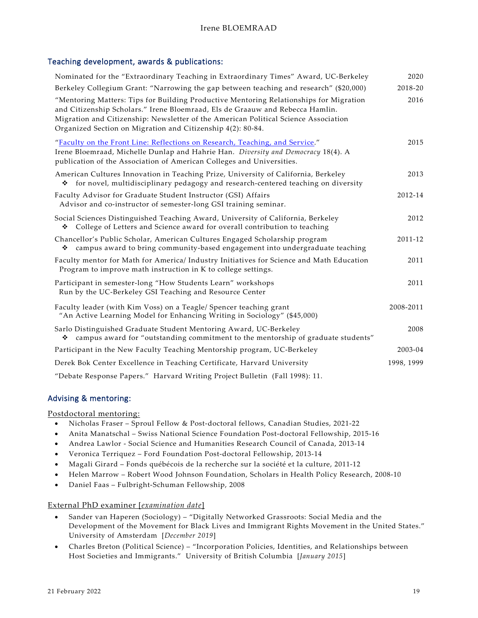# Teaching development, awards & publications:

| Nominated for the "Extraordinary Teaching in Extraordinary Times" Award, UC-Berkeley                                                                                                                                                                                                                                          | 2020       |
|-------------------------------------------------------------------------------------------------------------------------------------------------------------------------------------------------------------------------------------------------------------------------------------------------------------------------------|------------|
| Berkeley Collegium Grant: "Narrowing the gap between teaching and research" (\$20,000)                                                                                                                                                                                                                                        | 2018-20    |
| "Mentoring Matters: Tips for Building Productive Mentoring Relationships for Migration<br>and Citizenship Scholars." Irene Bloemraad, Els de Graauw and Rebecca Hamlin.<br>Migration and Citizenship: Newsletter of the American Political Science Association<br>Organized Section on Migration and Citizenship 4(2): 80-84. | 2016       |
| "Faculty on the Front Line: Reflections on Research, Teaching, and Service."<br>Irene Bloemraad, Michelle Dunlap and Hahrie Han. Diversity and Democracy 18(4). A<br>publication of the Association of American Colleges and Universities.                                                                                    | 2015       |
| American Cultures Innovation in Teaching Prize, University of California, Berkeley<br>for novel, multidisciplinary pedagogy and research-centered teaching on diversity<br>❖                                                                                                                                                  | 2013       |
| Faculty Advisor for Graduate Student Instructor (GSI) Affairs<br>Advisor and co-instructor of semester-long GSI training seminar.                                                                                                                                                                                             | 2012-14    |
| Social Sciences Distinguished Teaching Award, University of California, Berkeley<br>College of Letters and Science award for overall contribution to teaching<br>❖                                                                                                                                                            | 2012       |
| Chancellor's Public Scholar, American Cultures Engaged Scholarship program<br>campus award to bring community-based engagement into undergraduate teaching<br>❖                                                                                                                                                               | 2011-12    |
| Faculty mentor for Math for America/ Industry Initiatives for Science and Math Education<br>Program to improve math instruction in K to college settings.                                                                                                                                                                     | 2011       |
| Participant in semester-long "How Students Learn" workshops<br>Run by the UC-Berkeley GSI Teaching and Resource Center                                                                                                                                                                                                        | 2011       |
| Faculty leader (with Kim Voss) on a Teagle/ Spencer teaching grant<br>"An Active Learning Model for Enhancing Writing in Sociology" (\$45,000)                                                                                                                                                                                | 2008-2011  |
| Sarlo Distinguished Graduate Student Mentoring Award, UC-Berkeley<br>campus award for "outstanding commitment to the mentorship of graduate students"<br>❖                                                                                                                                                                    | 2008       |
| Participant in the New Faculty Teaching Mentorship program, UC-Berkeley                                                                                                                                                                                                                                                       | 2003-04    |
| Derek Bok Center Excellence in Teaching Certificate, Harvard University                                                                                                                                                                                                                                                       | 1998, 1999 |
| "Debate Response Papers." Harvard Writing Project Bulletin (Fall 1998): 11.                                                                                                                                                                                                                                                   |            |

## Advising & mentoring:

Postdoctoral mentoring:

- Nicholas Fraser Sproul Fellow & Post-doctoral fellows, Canadian Studies, 2021-22
- Anita Manatschal Swiss National Science Foundation Post-doctoral Fellowship, 2015-16
- Andrea Lawlor Social Science and Humanities Research Council of Canada, 2013-14
- Veronica Terriquez Ford Foundation Post-doctoral Fellowship, 2013-14
- Magali Girard Fonds québécois de la recherche sur la société et la culture, 2011-12
- Helen Marrow Robert Wood Johnson Foundation, Scholars in Health Policy Research, 2008-10
- Daniel Faas Fulbright-Schuman Fellowship, 2008

External PhD examiner [*examination date*]

- Sander van Haperen (Sociology) "Digitally Networked Grassroots: Social Media and the Development of the Movement for Black Lives and Immigrant Rights Movement in the United States." University of Amsterdam [*December 2019*]
- Charles Breton (Political Science) "Incorporation Policies, Identities, and Relationships between Host Societies and Immigrants." University of British Columbia [*January 2015*]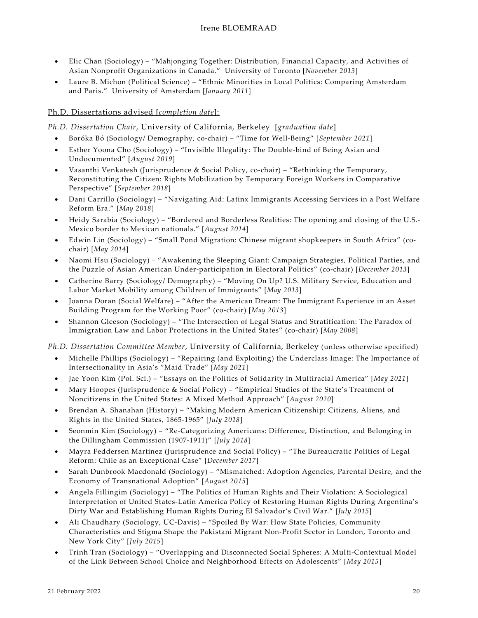- Elic Chan (Sociology) "Mahjonging Together: Distribution, Financial Capacity, and Activities of Asian Nonprofit Organizations in Canada." University of Toronto [*November 2013*]
- Laure B. Michon (Political Science) "Ethnic Minorities in Local Politics: Comparing Amsterdam and Paris." University of Amsterdam [*January 2011*]

# Ph.D. Dissertations advised [*completion date*]:

*Ph.D. Dissertation Chair*, University of California, Berkeley [*graduation date*]

- Boróka Bó (Sociology/ Demography, co-chair) "Time for Well-Being" [*September 2021*]
- Esther Yoona Cho (Sociology) "Invisible Illegality: The Double-bind of Being Asian and Undocumented" [*August 2019*]
- Vasanthi Venkatesh (Jurisprudence & Social Policy, co-chair) "Rethinking the Temporary, Reconstituting the Citizen: Rights Mobilization by Temporary Foreign Workers in Comparative Perspective" [*September 2018*]
- Dani Carrillo (Sociology) "Navigating Aid: Latinx Immigrants Accessing Services in a Post Welfare Reform Era." [*May 2018*]
- Heidy Sarabia (Sociology) "Bordered and Borderless Realities: The opening and closing of the U.S.- Mexico border to Mexican nationals." [*August 2014*]
- Edwin Lin (Sociology) "Small Pond Migration: Chinese migrant shopkeepers in South Africa" (cochair) [*May 2014*]
- Naomi Hsu (Sociology) "Awakening the Sleeping Giant: Campaign Strategies, Political Parties, and the Puzzle of Asian American Under-participation in Electoral Politics" (co-chair) [*December 2013*]
- Catherine Barry (Sociology/ Demography) "Moving On Up? U.S. Military Service, Education and Labor Market Mobility among Children of Immigrants" [*May 2013*]
- Joanna Doran (Social Welfare) "After the American Dream: The Immigrant Experience in an Asset Building Program for the Working Poor" (co-chair) [*May 2013*]
- Shannon Gleeson (Sociology) "The Intersection of Legal Status and Stratification: The Paradox of Immigration Law and Labor Protections in the United States" (co-chair) [*May 2008*]

*Ph.D. Dissertation Committee Member*, University of California, Berkeley (unless otherwise specified)

- Michelle Phillips (Sociology) "Repairing (and Exploiting) the Underclass Image: The Importance of Intersectionality in Asia's "Maid Trade" [*May 2021*]
- Jae Yoon Kim (Pol. Sci.) "Essays on the Politics of Solidarity in Multiracial America" [*May 2021*]
- Mary Hoopes (Jurisprudence & Social Policy) "Empirical Studies of the State's Treatment of Noncitizens in the United States: A Mixed Method Approach" [*August 2020*]
- Brendan A. Shanahan (History) "Making Modern American Citizenship: Citizens, Aliens, and Rights in the United States, 1865-1965" [*July 2018*]
- Seonmin Kim (Sociology) "Re-Categorizing Americans: Difference, Distinction, and Belonging in the Dillingham Commission (1907-1911)" [*July 2018*]
- Mayra Feddersen Martinez (Jurisprudence and Social Policy) "The Bureaucratic Politics of Legal Reform: Chile as an Exceptional Case" [*December 2017*]
- Sarah Dunbrook Macdonald (Sociology) "Mismatched: Adoption Agencies, Parental Desire, and the Economy of Transnational Adoption" [*August 2015*]
- Angela Fillingim (Sociology) "The Politics of Human Rights and Their Violation: A Sociological Interpretation of United States-Latin America Policy of Restoring Human Rights During Argentina's Dirty War and Establishing Human Rights During El Salvador's Civil War." [*July 2015*]
- Ali Chaudhary (Sociology, UC-Davis) "Spoiled By War: How State Policies, Community Characteristics and Stigma Shape the Pakistani Migrant Non-Profit Sector in London, Toronto and New York City" [*July 2015*]
- Trinh Tran (Sociology) "Overlapping and Disconnected Social Spheres: A Multi-Contextual Model of the Link Between School Choice and Neighborhood Effects on Adolescents" [*May 2015*]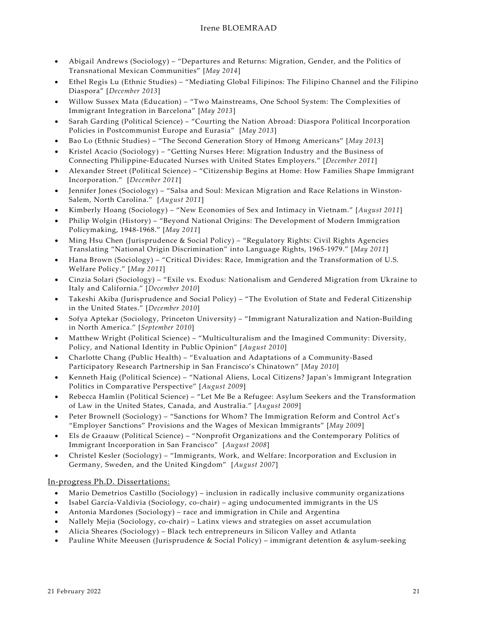- Abigail Andrews (Sociology) "Departures and Returns: Migration, Gender, and the Politics of Transnational Mexican Communities" [*May 2014*]
- Ethel Regis Lu (Ethnic Studies) "Mediating Global Filipinos: The Filipino Channel and the Filipino Diaspora" [*December 2013*]
- Willow Sussex Mata (Education) "Two Mainstreams, One School System: The Complexities of Immigrant Integration in Barcelona" [*May 2013*]
- Sarah Garding (Political Science) "Courting the Nation Abroad: Diaspora Political Incorporation Policies in Postcommunist Europe and Eurasia" [*May 2013*]
- Bao Lo (Ethnic Studies) "The Second Generation Story of Hmong Americans" [*May 2013*]
- Kristel Acacio (Sociology) "Getting Nurses Here: Migration Industry and the Business of Connecting Philippine-Educated Nurses with United States Employers." [*December 2011*]
- Alexander Street (Political Science) "Citizenship Begins at Home: How Families Shape Immigrant Incorporation." [*December 2011*]
- Jennifer Jones (Sociology) "Salsa and Soul: Mexican Migration and Race Relations in Winston-Salem, North Carolina." [*August 2011*]
- Kimberly Hoang (Sociology) "New Economies of Sex and Intimacy in Vietnam." [*August 2011*]
- Philip Wolgin (History) "Beyond National Origins: The Development of Modern Immigration Policymaking, 1948-1968." [*May 2011*]
- Ming Hsu Chen (Jurisprudence & Social Policy) "Regulatory Rights: Civil Rights Agencies Translating "National Origin Discrimination" into Language Rights, 1965-1979." [*May 2011*]
- Hana Brown (Sociology) "Critical Divides: Race, Immigration and the Transformation of U.S. Welfare Policy." [*May 2011*]
- Cinzia Solari (Sociology) "Exile vs. Exodus: Nationalism and Gendered Migration from Ukraine to Italy and California." [*December 2010*]
- Takeshi Akiba (Jurisprudence and Social Policy) "The Evolution of State and Federal Citizenship in the United States." [*December 2010*]
- Sofya Aptekar (Sociology, Princeton University) "Immigrant Naturalization and Nation-Building in North America." [*September 2010*]
- Matthew Wright (Political Science) "Multiculturalism and the Imagined Community: Diversity, Policy, and National Identity in Public Opinion" [*August 2010*]
- Charlotte Chang (Public Health) "Evaluation and Adaptations of a Community-Based Participatory Research Partnership in San Francisco's Chinatown" [*May 2010*]
- Kenneth Haig (Political Science) "National Aliens, Local Citizens? Japan's Immigrant Integration Politics in Comparative Perspective" [*August 2009*]
- Rebecca Hamlin (Political Science) "Let Me Be a Refugee: Asylum Seekers and the Transformation of Law in the United States, Canada, and Australia." [*August 2009*]
- Peter Brownell (Sociology) "Sanctions for Whom? The Immigration Reform and Control Act's "Employer Sanctions" Provisions and the Wages of Mexican Immigrants" [*May 2009*]
- Els de Graauw (Political Science) "Nonprofit Organizations and the Contemporary Politics of Immigrant Incorporation in San Francisco" [*August 2008*]
- Christel Kesler (Sociology) "Immigrants, Work, and Welfare: Incorporation and Exclusion in Germany, Sweden, and the United Kingdom" [*August 2007*]

## In-progress Ph.D. Dissertations:

- Mario Demetrios Castillo (Sociology) inclusion in radically inclusive community organizations
- Isabel García-Valdivia (Sociology, co-chair) aging undocumented immigrants in the US
- Antonia Mardones (Sociology) race and immigration in Chile and Argentina
- Nallely Mejia (Sociology, co-chair) Latinx views and strategies on asset accumulation
- Alicia Sheares (Sociology) Black tech entrepreneurs in Silicon Valley and Atlanta
- Pauline White Meeusen (Jurisprudence & Social Policy) immigrant detention & asylum-seeking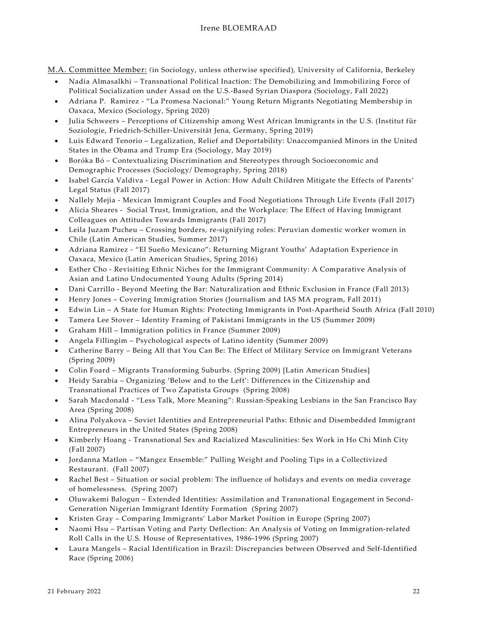M.A. Committee Member: *(*in Sociology, unless otherwise specified)*,* University of California, Berkeley

- Nadia Almasalkhi Transnational Political Inaction: The Demobilizing and Immobilizing Force of Political Socialization under Assad on the U.S.-Based Syrian Diaspora (Sociology, Fall 2022)
- Adriana P. Ramirez "La Promesa Nacional:" Young Return Migrants Negotiating Membership in Oaxaca, Mexico (Sociology, Spring 2020)
- Julia Schweers Perceptions of Citizenship among West African Immigrants in the U.S. (Institut für Soziologie, Friedrich-Schiller-Universität Jena, Germany, Spring 2019)
- Luis Edward Tenorio Legalization, Relief and Deportability: Unaccompanied Minors in the United States in the Obama and Trump Era (Sociology, May 2019)
- Boróka Bó Contextualizing Discrimination and Stereotypes through Socioeconomic and Demographic Processes (Sociology/ Demography, Spring 2018)
- Isabel García Valdiva Legal Power in Action: How Adult Children Mitigate the Effects of Parents' Legal Status (Fall 2017)
- Nallely Mejia Mexican Immigrant Couples and Food Negotiations Through Life Events (Fall 2017)
- Alicia Sheares Social Trust, Immigration, and the Workplace: The Effect of Having Immigrant Colleagues on Attitudes Towards Immigrants (Fall 2017)
- Leila Juzam Pucheu Crossing borders, re-signifying roles: Peruvian domestic worker women in Chile (Latin American Studies, Summer 2017)
- Adriana Ramirez "El Sueño Mexicano": Returning Migrant Youths' Adaptation Experience in Oaxaca, Mexico (Latin American Studies, Spring 2016)
- Esther Cho Revisiting Ethnic Niches for the Immigrant Community: A Comparative Analysis of Asian and Latino Undocumented Young Adults (Spring 2014)
- Dani Carrillo Beyond Meeting the Bar: Naturalization and Ethnic Exclusion in France (Fall 2013)
- Henry Jones Covering Immigration Stories (Journalism and IAS MA program, Fall 2011)
- Edwin Lin A State for Human Rights: Protecting Immigrants in Post-Apartheid South Africa (Fall 2010)
- Tamera Lee Stover Identity Framing of Pakistani Immigrants in the US (Summer 2009)
- Graham Hill Immigration politics in France (Summer 2009)
- Angela Fillingim Psychological aspects of Latino identity (Summer 2009)
- Catherine Barry Being All that You Can Be: The Effect of Military Service on Immigrant Veterans (Spring 2009)
- Colin Foard Migrants Transforming Suburbs. (Spring 2009) [Latin American Studies]
- Heidy Sarabia Organizing 'Below and to the Left': Differences in the Citizenship and Transnational Practices of Two Zapatista Groups (Spring 2008)
- Sarah Macdonald "Less Talk, More Meaning": Russian-Speaking Lesbians in the San Francisco Bay Area (Spring 2008)
- Alina Polyakova Soviet Identities and Entrepreneurial Paths: Ethnic and Disembedded Immigrant Entrepreneurs in the United States (Spring 2008)
- Kimberly Hoang Transnational Sex and Racialized Masculinities: Sex Work in Ho Chi Minh City (Fall 2007)
- Jordanna Matlon "Mangez Ensemble:" Pulling Weight and Pooling Tips in a Collectivized Restaurant. (Fall 2007)
- Rachel Best Situation or social problem: The influence of holidays and events on media coverage of homelessness. (Spring 2007)
- Oluwakemi Balogun Extended Identities: Assimilation and Transnational Engagement in Second-Generation Nigerian Immigrant Identity Formation (Spring 2007)
- Kristen Gray Comparing Immigrants' Labor Market Position in Europe (Spring 2007)
- Naomi Hsu Partisan Voting and Party Deflection: An Analysis of Voting on Immigration-related Roll Calls in the U.S. House of Representatives, 1986-1996 (Spring 2007)
- Laura Mangels Racial Identification in Brazil: Discrepancies between Observed and Self-Identified Race (Spring 2006)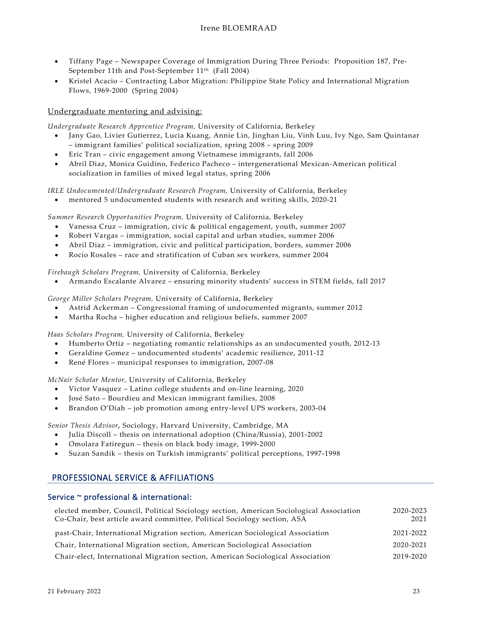- Tiffany Page Newspaper Coverage of Immigration During Three Periods: Proposition 187, Pre-September 11th and Post-September 11<sup>th</sup> (Fall 2004)
- Kristel Acacio Contracting Labor Migration: Philippine State Policy and International Migration Flows, 1969-2000 (Spring 2004)

### Undergraduate mentoring and advising:

*Undergraduate Research Apprentice Program,* University of California, Berkeley

- Jany Gao, Livier Gutierrez, Lucia Kuang, Annie Lin, Jinghan Liu, Vinh Luu, Ivy Ngo, Sam Quintanar – immigrant families' political socialization, spring 2008 – spring 2009
- Eric Tran civic engagement among Vietnamese immigrants, fall 2006
- Abril Diaz, Monica Guidino, Federico Pacheco intergenerational Mexican-American political socialization in families of mixed legal status, spring 2006

*IRLE Undocumented/Undergraduate Research Program,* University of California, Berkeley

• mentored 5 undocumented students with research and writing skills, 2020-21

*Summer Research Opportunities Program,* University of California, Berkeley

- Vanessa Cruz immigration, civic & political engagement, youth, summer 2007
- Robert Vargas immigration, social capital and urban studies, summer 2006
- Abril Diaz immigration, civic and political participation, borders, summer 2006
- Rocio Rosales race and stratification of Cuban sex workers, summer 2004

*Firebaugh Scholars Program,* University of California, Berkeley

• Armando Escalante Alvarez – ensuring minority students' success in STEM fields, fall 2017

*George Miller Scholars Program,* University of California, Berkeley

- Astrid Ackerman Congressional framing of undocumented migrants, summer 2012
- Martha Rocha higher education and religious beliefs, summer 2007

*Haas Scholars Program,* University of California, Berkeley

- Humberto Ortiz negotiating romantic relationships as an undocumented youth, 2012-13
- Geraldine Gomez undocumented students' academic resilience, 2011-12
- René Flores municipal responses to immigration, 2007-08

*McNair Scholar Mentor,* University of California, Berkeley

- Victor Vasquez Latino college students and on-line learning, 2020
- José Sato Bourdieu and Mexican immigrant families, 2008
- Brandon O'Diah job promotion among entry-level UPS workers, 2003-04

*Senior Thesis Advisor,* Sociology, Harvard University, Cambridge, MA

- Julia Discoll thesis on international adoption (China/Russia), 2001-2002
- Omolara Fatiregun thesis on black body image, 1999-2000
- Suzan Sandik thesis on Turkish immigrants' political perceptions, 1997-1998

# PROFESSIONAL SERVICE & AFFILIATIONS

## Service ~ professional & international:

| elected member, Council, Political Sociology section, American Sociological Association<br>Co-Chair, best article award committee, Political Sociology section, ASA | 2020-2023<br>2021 |
|---------------------------------------------------------------------------------------------------------------------------------------------------------------------|-------------------|
| past-Chair, International Migration section, American Sociological Association                                                                                      | 2021-2022         |
| Chair, International Migration section, American Sociological Association                                                                                           | 2020-2021         |
| Chair-elect, International Migration section, American Sociological Association                                                                                     | 2019-2020         |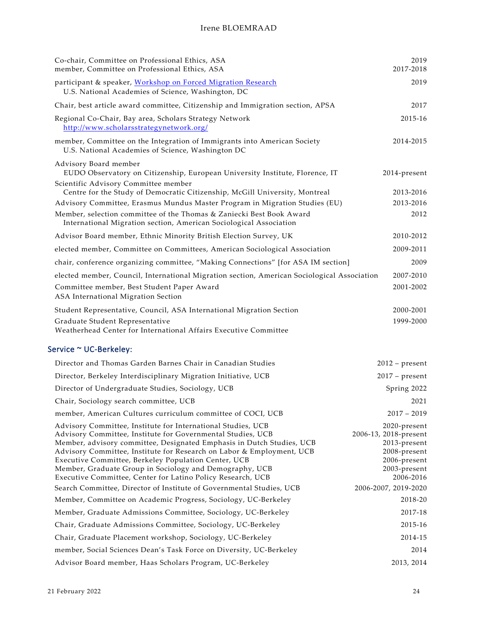| Co-chair, Committee on Professional Ethics, ASA<br>member, Committee on Professional Ethics, ASA                                                                                                                                                                                                                                                                                                                                                                | 2019<br>2017-2018                                                                                                  |
|-----------------------------------------------------------------------------------------------------------------------------------------------------------------------------------------------------------------------------------------------------------------------------------------------------------------------------------------------------------------------------------------------------------------------------------------------------------------|--------------------------------------------------------------------------------------------------------------------|
| participant & speaker, Workshop on Forced Migration Research<br>U.S. National Academies of Science, Washington, DC                                                                                                                                                                                                                                                                                                                                              | 2019                                                                                                               |
| Chair, best article award committee, Citizenship and Immigration section, APSA                                                                                                                                                                                                                                                                                                                                                                                  | 2017                                                                                                               |
| Regional Co-Chair, Bay area, Scholars Strategy Network<br>http://www.scholarsstrategynetwork.org/                                                                                                                                                                                                                                                                                                                                                               | 2015-16                                                                                                            |
| member, Committee on the Integration of Immigrants into American Society<br>U.S. National Academies of Science, Washington DC                                                                                                                                                                                                                                                                                                                                   | 2014-2015                                                                                                          |
| Advisory Board member<br>EUDO Observatory on Citizenship, European University Institute, Florence, IT<br>Scientific Advisory Committee member                                                                                                                                                                                                                                                                                                                   | 2014-present                                                                                                       |
| Centre for the Study of Democratic Citizenship, McGill University, Montreal                                                                                                                                                                                                                                                                                                                                                                                     | 2013-2016                                                                                                          |
| Advisory Committee, Erasmus Mundus Master Program in Migration Studies (EU)                                                                                                                                                                                                                                                                                                                                                                                     | 2013-2016                                                                                                          |
| Member, selection committee of the Thomas & Zaniecki Best Book Award<br>International Migration section, American Sociological Association                                                                                                                                                                                                                                                                                                                      | 2012                                                                                                               |
| Advisor Board member, Ethnic Minority British Election Survey, UK                                                                                                                                                                                                                                                                                                                                                                                               | 2010-2012                                                                                                          |
| elected member, Committee on Committees, American Sociological Association                                                                                                                                                                                                                                                                                                                                                                                      | 2009-2011                                                                                                          |
| chair, conference organizing committee, "Making Connections" [for ASA IM section]                                                                                                                                                                                                                                                                                                                                                                               | 2009                                                                                                               |
| elected member, Council, International Migration section, American Sociological Association                                                                                                                                                                                                                                                                                                                                                                     | 2007-2010                                                                                                          |
| Committee member, Best Student Paper Award<br>ASA International Migration Section                                                                                                                                                                                                                                                                                                                                                                               | 2001-2002                                                                                                          |
| Student Representative, Council, ASA International Migration Section                                                                                                                                                                                                                                                                                                                                                                                            | 2000-2001                                                                                                          |
| Graduate Student Representative<br>Weatherhead Center for International Affairs Executive Committee                                                                                                                                                                                                                                                                                                                                                             | 1999-2000                                                                                                          |
| Service ~ UC-Berkeley:                                                                                                                                                                                                                                                                                                                                                                                                                                          |                                                                                                                    |
| Director and Thomas Garden Barnes Chair in Canadian Studies                                                                                                                                                                                                                                                                                                                                                                                                     | $2012$ – present                                                                                                   |
| Director, Berkeley Interdisciplinary Migration Initiative, UCB                                                                                                                                                                                                                                                                                                                                                                                                  | $2017$ – present                                                                                                   |
| Director of Undergraduate Studies, Sociology, UCB                                                                                                                                                                                                                                                                                                                                                                                                               | Spring 2022                                                                                                        |
| Chair, Sociology search committee, UCB                                                                                                                                                                                                                                                                                                                                                                                                                          | 2021                                                                                                               |
| member, American Cultures curriculum committee of COCI, UCB                                                                                                                                                                                                                                                                                                                                                                                                     | $2017 - 2019$                                                                                                      |
| Advisory Committee, Institute for International Studies, UCB<br>Advisory Committee, Institute for Governmental Studies, UCB<br>Member, advisory committee, Designated Emphasis in Dutch Studies, UCB<br>Advisory Committee, Institute for Research on Labor & Employment, UCB<br>Executive Committee, Berkeley Population Center, UCB<br>Member, Graduate Group in Sociology and Demography, UCB<br>Executive Committee, Center for Latino Policy Research, UCB | 2020-present<br>2006-13, 2018-present<br>2013-present<br>2008-present<br>2006-present<br>2003-present<br>2006-2016 |
| Search Committee, Director of Institute of Governmental Studies, UCB                                                                                                                                                                                                                                                                                                                                                                                            | 2006-2007, 2019-2020                                                                                               |
| Member, Committee on Academic Progress, Sociology, UC-Berkeley                                                                                                                                                                                                                                                                                                                                                                                                  | 2018-20                                                                                                            |
| Member, Graduate Admissions Committee, Sociology, UC-Berkeley                                                                                                                                                                                                                                                                                                                                                                                                   | 2017-18                                                                                                            |
| Chair, Graduate Admissions Committee, Sociology, UC-Berkeley                                                                                                                                                                                                                                                                                                                                                                                                    | 2015-16                                                                                                            |
| Chair, Graduate Placement workshop, Sociology, UC-Berkeley                                                                                                                                                                                                                                                                                                                                                                                                      | 2014-15                                                                                                            |
| member, Social Sciences Dean's Task Force on Diversity, UC-Berkeley                                                                                                                                                                                                                                                                                                                                                                                             | 2014                                                                                                               |
| Advisor Board member, Haas Scholars Program, UC-Berkeley                                                                                                                                                                                                                                                                                                                                                                                                        | 2013, 2014                                                                                                         |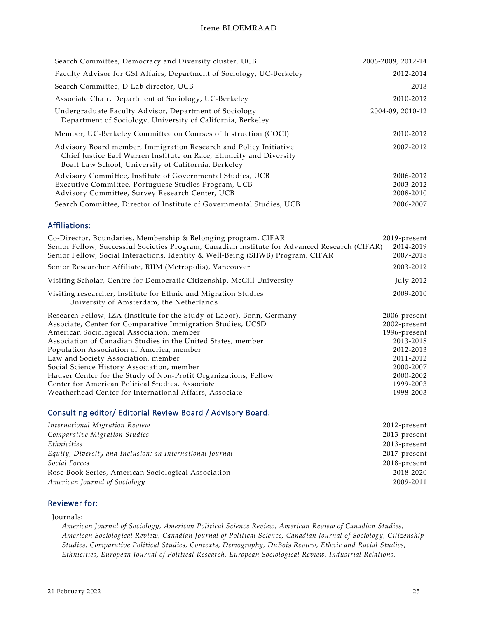| Search Committee, Democracy and Diversity cluster, UCB                                                                                                                                            | 2006-2009, 2012-14                  |
|---------------------------------------------------------------------------------------------------------------------------------------------------------------------------------------------------|-------------------------------------|
| Faculty Advisor for GSI Affairs, Department of Sociology, UC-Berkeley                                                                                                                             | 2012-2014                           |
| Search Committee, D-Lab director, UCB                                                                                                                                                             | 2013                                |
| Associate Chair, Department of Sociology, UC-Berkeley                                                                                                                                             | 2010-2012                           |
| Undergraduate Faculty Advisor, Department of Sociology<br>Department of Sociology, University of California, Berkeley                                                                             | 2004-09, 2010-12                    |
| Member, UC-Berkeley Committee on Courses of Instruction (COCI)                                                                                                                                    | 2010-2012                           |
| Advisory Board member, Immigration Research and Policy Initiative<br>Chief Justice Earl Warren Institute on Race, Ethnicity and Diversity<br>Boalt Law School, University of California, Berkeley | 2007-2012                           |
| Advisory Committee, Institute of Governmental Studies, UCB<br>Executive Committee, Portuguese Studies Program, UCB<br>Advisory Committee, Survey Research Center, UCB                             | 2006-2012<br>2003-2012<br>2008-2010 |
| Search Committee, Director of Institute of Governmental Studies, UCB                                                                                                                              | 2006-2007                           |

## Affiliations:

| 2019-present                                                                                               |
|------------------------------------------------------------------------------------------------------------|
| Senior Fellow, Successful Societies Program, Canadian Institute for Advanced Research (CIFAR)<br>2014-2019 |
| 2007-2018                                                                                                  |
| 2003-2012                                                                                                  |
| July 2012                                                                                                  |
| 2009-2010                                                                                                  |
| 2006-present                                                                                               |
| 2002-present                                                                                               |
| 1996-present                                                                                               |
| 2013-2018                                                                                                  |
| 2012-2013                                                                                                  |
| 2011-2012                                                                                                  |
| 2000-2007                                                                                                  |
| 2000-2002                                                                                                  |
| 1999-2003                                                                                                  |
| 1998-2003                                                                                                  |
|                                                                                                            |

## Consulting editor/ Editorial Review Board / Advisory Board:

| 2012-present |
|--------------|
| 2013-present |
| 2013-present |
| 2017-present |
| 2018-present |
| 2018-2020    |
| 2009-2011    |
|              |

## Reviewer for:

### Journals:

*American Journal of Sociology, American Political Science Review, American Review of Canadian Studies, American Sociological Review, Canadian Journal of Political Science, Canadian Journal of Sociology, Citizenship Studies, Comparative Political Studies, Contexts, Demography, DuBois Review, Ethnic and Racial Studies, Ethnicities, European Journal of Political Research, European Sociological Review, Industrial Relations,*